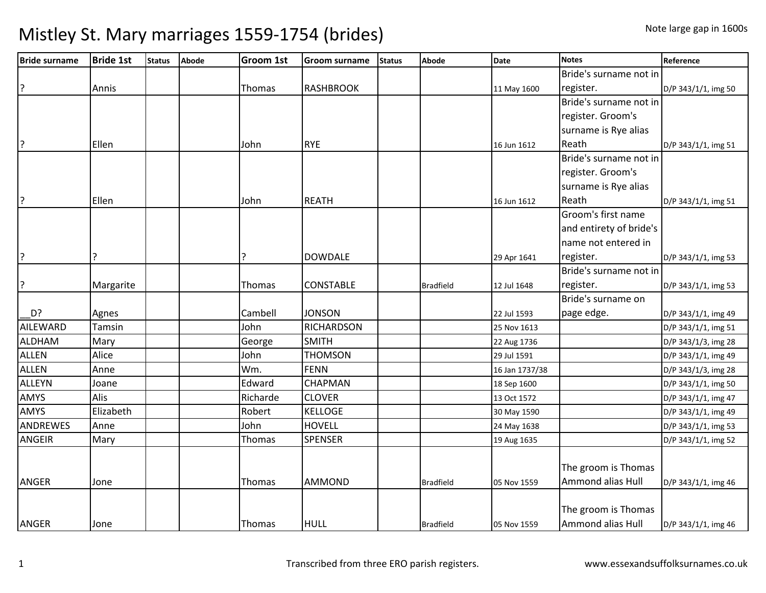| <b>Bride surname</b> | <b>Bride 1st</b> | <b>Status</b> | <b>Abode</b> | <b>Groom 1st</b> | <b>Groom surname</b> | <b>Status</b> | <b>Abode</b>     | <b>Date</b>    | <b>Notes</b>             | Reference           |
|----------------------|------------------|---------------|--------------|------------------|----------------------|---------------|------------------|----------------|--------------------------|---------------------|
|                      |                  |               |              |                  |                      |               |                  |                | Bride's surname not in   |                     |
| ?                    | Annis            |               |              | Thomas           | <b>RASHBROOK</b>     |               |                  | 11 May 1600    | register.                | D/P 343/1/1, img 50 |
|                      |                  |               |              |                  |                      |               |                  |                | Bride's surname not in   |                     |
|                      |                  |               |              |                  |                      |               |                  |                | register. Groom's        |                     |
|                      |                  |               |              |                  |                      |               |                  |                | surname is Rye alias     |                     |
| P.                   | Ellen            |               |              | John             | <b>RYE</b>           |               |                  | 16 Jun 1612    | Reath                    | D/P 343/1/1, img 51 |
|                      |                  |               |              |                  |                      |               |                  |                | Bride's surname not in   |                     |
|                      |                  |               |              |                  |                      |               |                  |                | register. Groom's        |                     |
|                      |                  |               |              |                  |                      |               |                  |                | surname is Rye alias     |                     |
| ?                    | Ellen            |               |              | John             | <b>REATH</b>         |               |                  | 16 Jun 1612    | Reath                    | D/P 343/1/1, img 51 |
|                      |                  |               |              |                  |                      |               |                  |                | Groom's first name       |                     |
|                      |                  |               |              |                  |                      |               |                  |                | and entirety of bride's  |                     |
|                      |                  |               |              |                  |                      |               |                  |                | name not entered in      |                     |
| P.                   | ?                |               |              | <u>?</u>         | <b>DOWDALE</b>       |               |                  | 29 Apr 1641    | register.                | D/P 343/1/1, img 53 |
|                      |                  |               |              |                  |                      |               |                  |                | Bride's surname not in   |                     |
| ?                    | Margarite        |               |              | Thomas           | <b>CONSTABLE</b>     |               | <b>Bradfield</b> | 12 Jul 1648    | register.                | D/P 343/1/1, img 53 |
|                      |                  |               |              |                  |                      |               |                  |                | Bride's surname on       |                     |
| D?                   | Agnes            |               |              | Cambell          | <b>JONSON</b>        |               |                  | 22 Jul 1593    | page edge.               | D/P 343/1/1, img 49 |
| <b>AILEWARD</b>      | Tamsin           |               |              | John             | <b>RICHARDSON</b>    |               |                  | 25 Nov 1613    |                          | D/P 343/1/1, img 51 |
| <b>ALDHAM</b>        | Mary             |               |              | George           | <b>SMITH</b>         |               |                  | 22 Aug 1736    |                          | D/P 343/1/3, img 28 |
| <b>ALLEN</b>         | Alice            |               |              | John             | <b>THOMSON</b>       |               |                  | 29 Jul 1591    |                          | D/P 343/1/1, img 49 |
| <b>ALLEN</b>         | Anne             |               |              | Wm.              | <b>FENN</b>          |               |                  | 16 Jan 1737/38 |                          | D/P 343/1/3, img 28 |
| <b>ALLEYN</b>        | Joane            |               |              | Edward           | <b>CHAPMAN</b>       |               |                  | 18 Sep 1600    |                          | D/P 343/1/1, img 50 |
| <b>AMYS</b>          | Alis             |               |              | Richarde         | <b>CLOVER</b>        |               |                  | 13 Oct 1572    |                          | D/P 343/1/1, img 47 |
| <b>AMYS</b>          | Elizabeth        |               |              | Robert           | <b>KELLOGE</b>       |               |                  | 30 May 1590    |                          | D/P 343/1/1, img 49 |
| ANDREWES             | Anne             |               |              | John             | <b>HOVELL</b>        |               |                  | 24 May 1638    |                          | D/P 343/1/1, img 53 |
| <b>ANGEIR</b>        | Mary             |               |              | Thomas           | <b>SPENSER</b>       |               |                  | 19 Aug 1635    |                          | D/P 343/1/1, img 52 |
|                      |                  |               |              |                  |                      |               |                  |                |                          |                     |
|                      |                  |               |              |                  |                      |               |                  |                | The groom is Thomas      |                     |
| <b>ANGER</b>         | Jone             |               |              | Thomas           | <b>AMMOND</b>        |               | <b>Bradfield</b> | 05 Nov 1559    | Ammond alias Hull        | D/P 343/1/1, img 46 |
|                      |                  |               |              |                  |                      |               |                  |                | The groom is Thomas      |                     |
| ANGER                | Jone             |               |              | Thomas           | <b>HULL</b>          |               | <b>Bradfield</b> | 05 Nov 1559    | <b>Ammond alias Hull</b> | D/P 343/1/1, img 46 |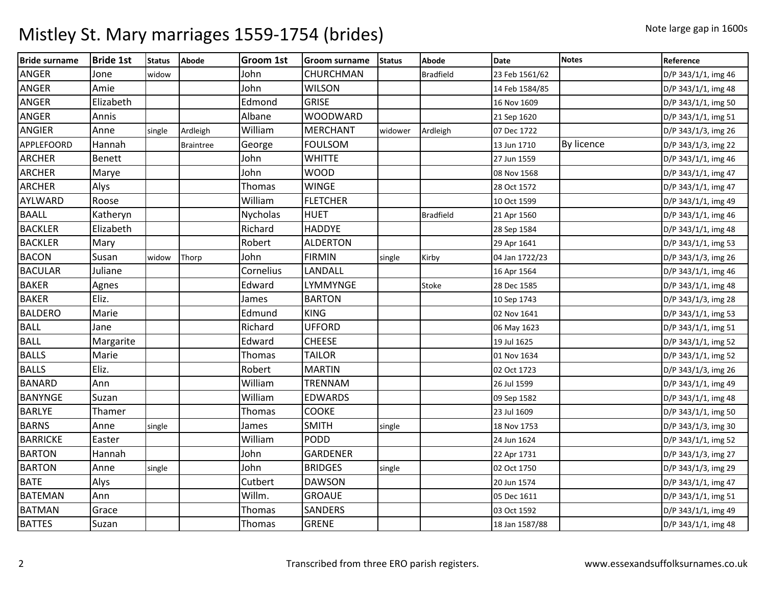| <b>Bride surname</b> | <b>Bride 1st</b> | <b>Status</b> | <b>Abode</b>     | Groom 1st       | <b>Groom surname</b> | <b>Status</b> | <b>Abode</b>     | <b>Date</b>    | <b>Notes</b>      | Reference           |
|----------------------|------------------|---------------|------------------|-----------------|----------------------|---------------|------------------|----------------|-------------------|---------------------|
| ANGER                | Jone             | widow         |                  | John            | CHURCHMAN            |               | <b>Bradfield</b> | 23 Feb 1561/62 |                   | D/P 343/1/1, img 46 |
| ANGER                | Amie             |               |                  | John            | <b>WILSON</b>        |               |                  | 14 Feb 1584/85 |                   | D/P 343/1/1, img 48 |
| ANGER                | Elizabeth        |               |                  | Edmond          | <b>GRISE</b>         |               |                  | 16 Nov 1609    |                   | D/P 343/1/1, img 50 |
| ANGER                | Annis            |               |                  | Albane          | <b>WOODWARD</b>      |               |                  | 21 Sep 1620    |                   | D/P 343/1/1, img 51 |
| ANGIER               | Anne             | single        | Ardleigh         | William         | <b>MERCHANT</b>      | widower       | Ardleigh         | 07 Dec 1722    |                   | D/P 343/1/3, img 26 |
| APPLEFOORD           | Hannah           |               | <b>Braintree</b> | George          | <b>FOULSOM</b>       |               |                  | 13 Jun 1710    | <b>By licence</b> | D/P 343/1/3, img 22 |
| <b>ARCHER</b>        | Benett           |               |                  | John            | <b>WHITTE</b>        |               |                  | 27 Jun 1559    |                   | D/P 343/1/1, img 46 |
| <b>ARCHER</b>        | Marye            |               |                  | John            | <b>WOOD</b>          |               |                  | 08 Nov 1568    |                   | D/P 343/1/1, img 47 |
| <b>ARCHER</b>        | Alys             |               |                  | Thomas          | <b>WINGE</b>         |               |                  | 28 Oct 1572    |                   | D/P 343/1/1, img 47 |
| AYLWARD              | Roose            |               |                  | William         | <b>FLETCHER</b>      |               |                  | 10 Oct 1599    |                   | D/P 343/1/1, img 49 |
| <b>BAALL</b>         | Katheryn         |               |                  | <b>Nycholas</b> | <b>HUET</b>          |               | <b>Bradfield</b> | 21 Apr 1560    |                   | D/P 343/1/1, img 46 |
| <b>BACKLER</b>       | Elizabeth        |               |                  | Richard         | <b>HADDYE</b>        |               |                  | 28 Sep 1584    |                   | D/P 343/1/1, img 48 |
| <b>BACKLER</b>       | Mary             |               |                  | Robert          | <b>ALDERTON</b>      |               |                  | 29 Apr 1641    |                   | D/P 343/1/1, img 53 |
| <b>BACON</b>         | Susan            | widow         | Thorp            | John            | <b>FIRMIN</b>        | single        | Kirby            | 04 Jan 1722/23 |                   | D/P 343/1/3, img 26 |
| <b>BACULAR</b>       | Juliane          |               |                  | Cornelius       | LANDALL              |               |                  | 16 Apr 1564    |                   | D/P 343/1/1, img 46 |
| <b>BAKER</b>         | Agnes            |               |                  | Edward          | <b>LYMMYNGE</b>      |               | Stoke            | 28 Dec 1585    |                   | D/P 343/1/1, img 48 |
| <b>BAKER</b>         | Eliz.            |               |                  | James           | <b>BARTON</b>        |               |                  | 10 Sep 1743    |                   | D/P 343/1/3, img 28 |
| <b>BALDERO</b>       | Marie            |               |                  | Edmund          | <b>KING</b>          |               |                  | 02 Nov 1641    |                   | D/P 343/1/1, img 53 |
| <b>BALL</b>          | Jane             |               |                  | Richard         | <b>UFFORD</b>        |               |                  | 06 May 1623    |                   | D/P 343/1/1, img 51 |
| <b>BALL</b>          | Margarite        |               |                  | Edward          | <b>CHEESE</b>        |               |                  | 19 Jul 1625    |                   | D/P 343/1/1, img 52 |
| <b>BALLS</b>         | Marie            |               |                  | Thomas          | <b>TAILOR</b>        |               |                  | 01 Nov 1634    |                   | D/P 343/1/1, img 52 |
| <b>BALLS</b>         | Eliz.            |               |                  | Robert          | <b>MARTIN</b>        |               |                  | 02 Oct 1723    |                   | D/P 343/1/3, img 26 |
| <b>BANARD</b>        | Ann              |               |                  | William         | <b>TRENNAM</b>       |               |                  | 26 Jul 1599    |                   | D/P 343/1/1, img 49 |
| <b>BANYNGE</b>       | Suzan            |               |                  | William         | <b>EDWARDS</b>       |               |                  | 09 Sep 1582    |                   | D/P 343/1/1, img 48 |
| <b>BARLYE</b>        | Thamer           |               |                  | Thomas          | COOKE                |               |                  | 23 Jul 1609    |                   | D/P 343/1/1, img 50 |
| <b>BARNS</b>         | Anne             | single        |                  | James           | <b>SMITH</b>         | single        |                  | 18 Nov 1753    |                   | D/P 343/1/3, img 30 |
| <b>BARRICKE</b>      | Easter           |               |                  | William         | PODD                 |               |                  | 24 Jun 1624    |                   | D/P 343/1/1, img 52 |
| <b>BARTON</b>        | Hannah           |               |                  | John            | <b>GARDENER</b>      |               |                  | 22 Apr 1731    |                   | D/P 343/1/3, img 27 |
| <b>BARTON</b>        | Anne             | single        |                  | John            | <b>BRIDGES</b>       | single        |                  | 02 Oct 1750    |                   | D/P 343/1/3, img 29 |
| <b>BATE</b>          | Alys             |               |                  | Cutbert         | <b>DAWSON</b>        |               |                  | 20 Jun 1574    |                   | D/P 343/1/1, img 47 |
| <b>BATEMAN</b>       | Ann              |               |                  | Willm.          | <b>GROAUE</b>        |               |                  | 05 Dec 1611    |                   | D/P 343/1/1, img 51 |
| <b>BATMAN</b>        | Grace            |               |                  | <b>Thomas</b>   | SANDERS              |               |                  | 03 Oct 1592    |                   | D/P 343/1/1, img 49 |
| <b>BATTES</b>        | Suzan            |               |                  | Thomas          | <b>GRENE</b>         |               |                  | 18 Jan 1587/88 |                   | D/P 343/1/1, img 48 |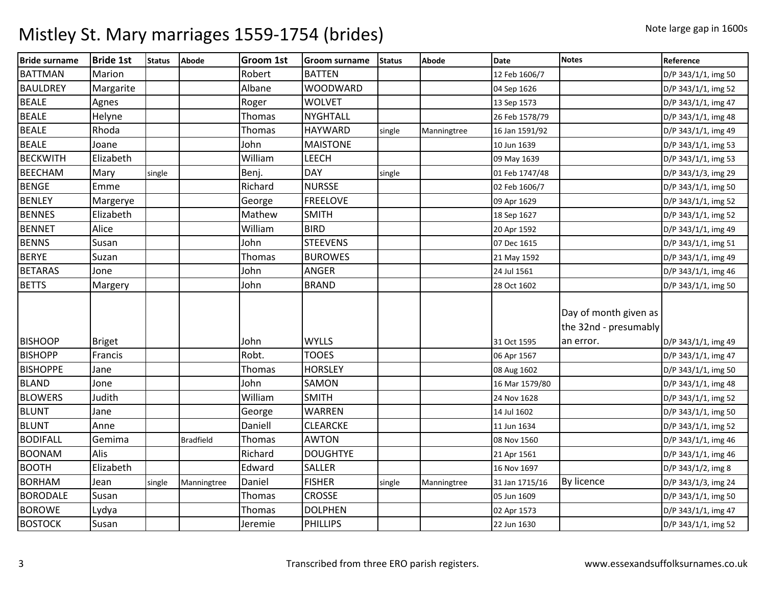| <b>Bride surname</b> | <b>Bride 1st</b> | <b>Status</b> | <b>Abode</b>     | Groom 1st     | <b>Groom surname</b> | <b>Status</b> | <b>Abode</b> | <b>Date</b>    | <b>Notes</b>                                                | Reference           |
|----------------------|------------------|---------------|------------------|---------------|----------------------|---------------|--------------|----------------|-------------------------------------------------------------|---------------------|
| <b>BATTMAN</b>       | Marion           |               |                  | Robert        | <b>BATTEN</b>        |               |              | 12 Feb 1606/7  |                                                             | D/P 343/1/1, img 50 |
| <b>BAULDREY</b>      | Margarite        |               |                  | Albane        | <b>WOODWARD</b>      |               |              | 04 Sep 1626    |                                                             | D/P 343/1/1, img 52 |
| <b>BEALE</b>         | Agnes            |               |                  | Roger         | <b>WOLVET</b>        |               |              | 13 Sep 1573    |                                                             | D/P 343/1/1, img 47 |
| <b>BEALE</b>         | Helyne           |               |                  | Thomas        | <b>NYGHTALL</b>      |               |              | 26 Feb 1578/79 |                                                             | D/P 343/1/1, img 48 |
| <b>BEALE</b>         | Rhoda            |               |                  | Thomas        | <b>HAYWARD</b>       | single        | Manningtree  | 16 Jan 1591/92 |                                                             | D/P 343/1/1, img 49 |
| <b>BEALE</b>         | Joane            |               |                  | John          | <b>MAISTONE</b>      |               |              | 10 Jun 1639    |                                                             | D/P 343/1/1, img 53 |
| <b>BECKWITH</b>      | Elizabeth        |               |                  | William       | LEECH                |               |              | 09 May 1639    |                                                             | D/P 343/1/1, img 53 |
| <b>BEECHAM</b>       | Mary             | single        |                  | Benj.         | <b>DAY</b>           | single        |              | 01 Feb 1747/48 |                                                             | D/P 343/1/3, img 29 |
| <b>BENGE</b>         | Emme             |               |                  | Richard       | <b>NURSSE</b>        |               |              | 02 Feb 1606/7  |                                                             | D/P 343/1/1, img 50 |
| <b>BENLEY</b>        | Margerye         |               |                  | George        | <b>FREELOVE</b>      |               |              | 09 Apr 1629    |                                                             | D/P 343/1/1, img 52 |
| <b>BENNES</b>        | Elizabeth        |               |                  | Mathew        | <b>SMITH</b>         |               |              | 18 Sep 1627    |                                                             | D/P 343/1/1, img 52 |
| <b>BENNET</b>        | Alice            |               |                  | William       | <b>BIRD</b>          |               |              | 20 Apr 1592    |                                                             | D/P 343/1/1, img 49 |
| <b>BENNS</b>         | Susan            |               |                  | John          | <b>STEEVENS</b>      |               |              | 07 Dec 1615    |                                                             | D/P 343/1/1, img 51 |
| <b>BERYE</b>         | Suzan            |               |                  | Thomas        | <b>BUROWES</b>       |               |              | 21 May 1592    |                                                             | D/P 343/1/1, img 49 |
| <b>BETARAS</b>       | Jone             |               |                  | John          | ANGER                |               |              | 24 Jul 1561    |                                                             | D/P 343/1/1, img 46 |
| <b>BETTS</b>         | Margery          |               |                  | John          | <b>BRAND</b>         |               |              | 28 Oct 1602    |                                                             | D/P 343/1/1, img 50 |
| <b>BISHOOP</b>       | <b>Briget</b>    |               |                  | John          | <b>WYLLS</b>         |               |              | 31 Oct 1595    | Day of month given as<br>the 32nd - presumably<br>an error. | D/P 343/1/1, img 49 |
| <b>BISHOPP</b>       | Francis          |               |                  | Robt.         | <b>TOOES</b>         |               |              | 06 Apr 1567    |                                                             | D/P 343/1/1, img 47 |
| <b>BISHOPPE</b>      | Jane             |               |                  | <b>Thomas</b> | <b>HORSLEY</b>       |               |              | 08 Aug 1602    |                                                             | D/P 343/1/1, img 50 |
| <b>BLAND</b>         | Jone             |               |                  | John          | SAMON                |               |              | 16 Mar 1579/80 |                                                             | D/P 343/1/1, img 48 |
| <b>BLOWERS</b>       | Judith           |               |                  | William       | <b>SMITH</b>         |               |              | 24 Nov 1628    |                                                             | D/P 343/1/1, img 52 |
| <b>BLUNT</b>         | Jane             |               |                  | George        | <b>WARREN</b>        |               |              | 14 Jul 1602    |                                                             | D/P 343/1/1, img 50 |
| <b>BLUNT</b>         | Anne             |               |                  | Daniell       | <b>CLEARCKE</b>      |               |              | 11 Jun 1634    |                                                             | D/P 343/1/1, img 52 |
| <b>BODIFALL</b>      | Gemima           |               | <b>Bradfield</b> | Thomas        | <b>AWTON</b>         |               |              | 08 Nov 1560    |                                                             | D/P 343/1/1, img 46 |
| <b>BOONAM</b>        | Alis             |               |                  | Richard       | <b>DOUGHTYE</b>      |               |              | 21 Apr 1561    |                                                             | D/P 343/1/1, img 46 |
| <b>BOOTH</b>         | Elizabeth        |               |                  | Edward        | <b>SALLER</b>        |               |              | 16 Nov 1697    |                                                             | D/P 343/1/2, img 8  |
| <b>BORHAM</b>        | Jean             | single        | Manningtree      | Daniel        | <b>FISHER</b>        | single        | Manningtree  | 31 Jan 1715/16 | <b>By licence</b>                                           | D/P 343/1/3, img 24 |
| <b>BORODALE</b>      | Susan            |               |                  | Thomas        | <b>CROSSE</b>        |               |              | 05 Jun 1609    |                                                             | D/P 343/1/1, img 50 |
| <b>BOROWE</b>        | Lydya            |               |                  | Thomas        | <b>DOLPHEN</b>       |               |              | 02 Apr 1573    |                                                             | D/P 343/1/1, img 47 |
| <b>BOSTOCK</b>       | Susan            |               |                  | Jeremie       | <b>PHILLIPS</b>      |               |              | 22 Jun 1630    |                                                             | D/P 343/1/1, img 52 |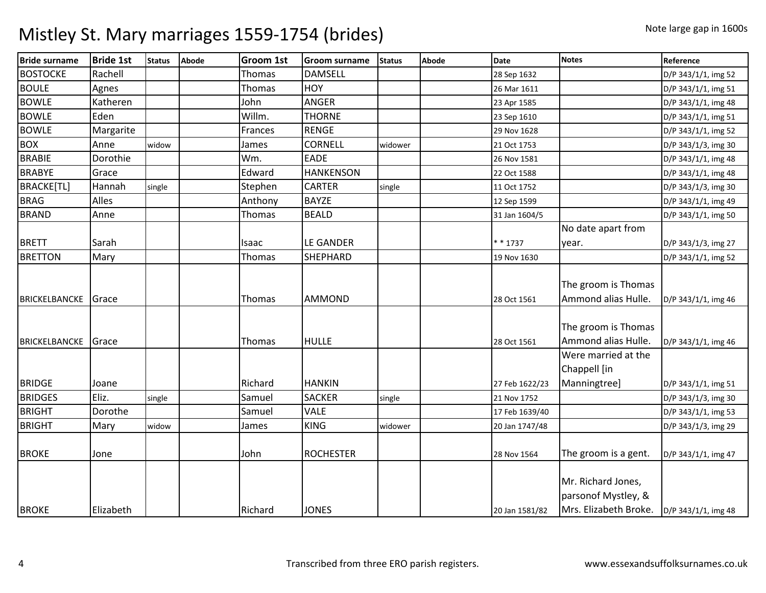| <b>Bride surname</b> | <b>Bride 1st</b> | <b>Status</b> | Abode | Groom 1st     | <b>Groom surname</b> | <b>Status</b> | Abode | <b>Date</b>    | <b>Notes</b>                                                       | Reference           |
|----------------------|------------------|---------------|-------|---------------|----------------------|---------------|-------|----------------|--------------------------------------------------------------------|---------------------|
| <b>BOSTOCKE</b>      | Rachell          |               |       | <b>Thomas</b> | <b>DAMSELL</b>       |               |       | 28 Sep 1632    |                                                                    | D/P 343/1/1, img 52 |
| <b>BOULE</b>         | Agnes            |               |       | Thomas        | HOY                  |               |       | 26 Mar 1611    |                                                                    | D/P 343/1/1, img 51 |
| <b>BOWLE</b>         | Katheren         |               |       | John          | <b>ANGER</b>         |               |       | 23 Apr 1585    |                                                                    | D/P 343/1/1, img 48 |
| <b>BOWLE</b>         | Eden             |               |       | Willm.        | <b>THORNE</b>        |               |       | 23 Sep 1610    |                                                                    | D/P 343/1/1, img 51 |
| <b>BOWLE</b>         | Margarite        |               |       | Frances       | <b>RENGE</b>         |               |       | 29 Nov 1628    |                                                                    | D/P 343/1/1, img 52 |
| <b>BOX</b>           | Anne             | widow         |       | James         | <b>CORNELL</b>       | widower       |       | 21 Oct 1753    |                                                                    | D/P 343/1/3, img 30 |
| <b>BRABIE</b>        | Dorothie         |               |       | Wm.           | EADE                 |               |       | 26 Nov 1581    |                                                                    | D/P 343/1/1, img 48 |
| <b>BRABYE</b>        | Grace            |               |       | Edward        | <b>HANKENSON</b>     |               |       | 22 Oct 1588    |                                                                    | D/P 343/1/1, img 48 |
| <b>BRACKE[TL]</b>    | Hannah           | single        |       | Stephen       | <b>CARTER</b>        | single        |       | 11 Oct 1752    |                                                                    | D/P 343/1/3, img 30 |
| <b>BRAG</b>          | Alles            |               |       | Anthony       | <b>BAYZE</b>         |               |       | 12 Sep 1599    |                                                                    | D/P 343/1/1, img 49 |
| <b>BRAND</b>         | Anne             |               |       | Thomas        | <b>BEALD</b>         |               |       | 31 Jan 1604/5  |                                                                    | D/P 343/1/1, img 50 |
|                      |                  |               |       |               |                      |               |       |                | No date apart from                                                 |                     |
| <b>BRETT</b>         | Sarah            |               |       | Isaac         | <b>LE GANDER</b>     |               |       | * * 1737       | year.                                                              | D/P 343/1/3, img 27 |
| <b>BRETTON</b>       | Mary             |               |       | Thomas        | SHEPHARD             |               |       | 19 Nov 1630    |                                                                    | D/P 343/1/1, img 52 |
| <b>BRICKELBANCKE</b> | Grace            |               |       | Thomas        | <b>AMMOND</b>        |               |       | 28 Oct 1561    | The groom is Thomas<br>Ammond alias Hulle.                         | D/P 343/1/1, img 46 |
| <b>BRICKELBANCKE</b> | Grace            |               |       | Thomas        | <b>HULLE</b>         |               |       | 28 Oct 1561    | The groom is Thomas<br>Ammond alias Hulle.                         | D/P 343/1/1, img 46 |
| <b>BRIDGE</b>        | Joane            |               |       | Richard       | <b>HANKIN</b>        |               |       | 27 Feb 1622/23 | Were married at the<br>Chappell [in<br>Manningtree]                | D/P 343/1/1, img 51 |
| <b>BRIDGES</b>       | Eliz.            | single        |       | Samuel        | <b>SACKER</b>        | single        |       | 21 Nov 1752    |                                                                    | D/P 343/1/3, img 30 |
| <b>BRIGHT</b>        | Dorothe          |               |       | Samuel        | <b>VALE</b>          |               |       | 17 Feb 1639/40 |                                                                    | D/P 343/1/1, img 53 |
| <b>BRIGHT</b>        | Mary             | widow         |       | James         | <b>KING</b>          | widower       |       | 20 Jan 1747/48 |                                                                    | D/P 343/1/3, img 29 |
| <b>BROKE</b>         | Jone             |               |       | John          | <b>ROCHESTER</b>     |               |       | 28 Nov 1564    | The groom is a gent.                                               | D/P 343/1/1, img 47 |
| <b>BROKE</b>         | Elizabeth        |               |       | Richard       | <b>JONES</b>         |               |       | 20 Jan 1581/82 | Mr. Richard Jones,<br>parsonof Mystley, &<br>Mrs. Elizabeth Broke. | D/P 343/1/1, img 48 |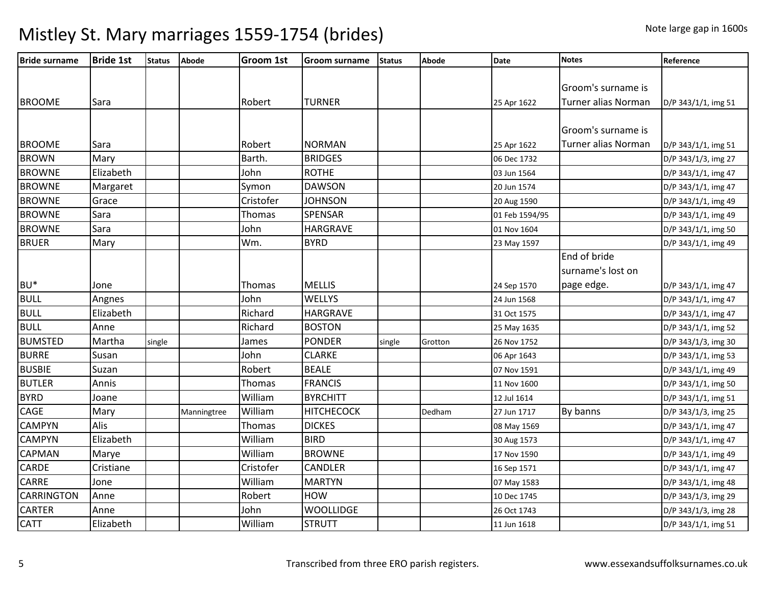| <b>Bride surname</b> | <b>Bride 1st</b> | <b>Status</b> | <b>Abode</b> | <b>Groom 1st</b> | <b>Groom surname</b> | <b>Status</b> | <b>Abode</b> | <b>Date</b>    | <b>Notes</b>        | Reference           |
|----------------------|------------------|---------------|--------------|------------------|----------------------|---------------|--------------|----------------|---------------------|---------------------|
|                      |                  |               |              |                  |                      |               |              |                |                     |                     |
|                      |                  |               |              |                  |                      |               |              |                | Groom's surname is  |                     |
| <b>BROOME</b>        | Sara             |               |              | Robert           | <b>TURNER</b>        |               |              | 25 Apr 1622    | Turner alias Norman | D/P 343/1/1, img 51 |
|                      |                  |               |              |                  |                      |               |              |                |                     |                     |
|                      |                  |               |              |                  |                      |               |              |                | Groom's surname is  |                     |
| <b>BROOME</b>        | Sara             |               |              | Robert           | <b>NORMAN</b>        |               |              | 25 Apr 1622    | Turner alias Norman | D/P 343/1/1, img 51 |
| <b>BROWN</b>         | Mary             |               |              | Barth.           | <b>BRIDGES</b>       |               |              | 06 Dec 1732    |                     | D/P 343/1/3, img 27 |
| <b>BROWNE</b>        | Elizabeth        |               |              | John             | <b>ROTHE</b>         |               |              | 03 Jun 1564    |                     | D/P 343/1/1, img 47 |
| <b>BROWNE</b>        | Margaret         |               |              | Symon            | <b>DAWSON</b>        |               |              | 20 Jun 1574    |                     | D/P 343/1/1, img 47 |
| <b>BROWNE</b>        | Grace            |               |              | Cristofer        | <b>JOHNSON</b>       |               |              | 20 Aug 1590    |                     | D/P 343/1/1, img 49 |
| <b>BROWNE</b>        | Sara             |               |              | Thomas           | <b>SPENSAR</b>       |               |              | 01 Feb 1594/95 |                     | D/P 343/1/1, img 49 |
| <b>BROWNE</b>        | Sara             |               |              | John             | <b>HARGRAVE</b>      |               |              | 01 Nov 1604    |                     | D/P 343/1/1, img 50 |
| <b>BRUER</b>         | Mary             |               |              | Wm.              | <b>BYRD</b>          |               |              | 23 May 1597    |                     | D/P 343/1/1, img 49 |
|                      |                  |               |              |                  |                      |               |              |                | End of bride        |                     |
|                      |                  |               |              |                  |                      |               |              |                | surname's lost on   |                     |
| BU <sup>*</sup>      | Jone             |               |              | Thomas           | <b>MELLIS</b>        |               |              | 24 Sep 1570    | page edge.          | D/P 343/1/1, img 47 |
| <b>BULL</b>          | Angnes           |               |              | John             | <b>WELLYS</b>        |               |              | 24 Jun 1568    |                     | D/P 343/1/1, img 47 |
| <b>BULL</b>          | Elizabeth        |               |              | Richard          | HARGRAVE             |               |              | 31 Oct 1575    |                     | D/P 343/1/1, img 47 |
| <b>BULL</b>          | Anne             |               |              | Richard          | <b>BOSTON</b>        |               |              | 25 May 1635    |                     | D/P 343/1/1, img 52 |
| <b>BUMSTED</b>       | Martha           | single        |              | James            | <b>PONDER</b>        | single        | Grotton      | 26 Nov 1752    |                     | D/P 343/1/3, img 30 |
| <b>BURRE</b>         | Susan            |               |              | John             | <b>CLARKE</b>        |               |              | 06 Apr 1643    |                     | D/P 343/1/1, img 53 |
| <b>BUSBIE</b>        | Suzan            |               |              | Robert           | <b>BEALE</b>         |               |              | 07 Nov 1591    |                     | D/P 343/1/1, img 49 |
| <b>BUTLER</b>        | Annis            |               |              | Thomas           | <b>FRANCIS</b>       |               |              | 11 Nov 1600    |                     | D/P 343/1/1, img 50 |
| <b>BYRD</b>          | Joane            |               |              | William          | <b>BYRCHITT</b>      |               |              | 12 Jul 1614    |                     | D/P 343/1/1, img 51 |
| <b>CAGE</b>          | Mary             |               | Manningtree  | William          | <b>HITCHECOCK</b>    |               | Dedham       | 27 Jun 1717    | By banns            | D/P 343/1/3, img 25 |
| <b>CAMPYN</b>        | Alis             |               |              | Thomas           | <b>DICKES</b>        |               |              | 08 May 1569    |                     | D/P 343/1/1, img 47 |
| <b>CAMPYN</b>        | Elizabeth        |               |              | William          | <b>BIRD</b>          |               |              | 30 Aug 1573    |                     | D/P 343/1/1, img 47 |
| <b>CAPMAN</b>        | Marye            |               |              | William          | <b>BROWNE</b>        |               |              | 17 Nov 1590    |                     | D/P 343/1/1, img 49 |
| <b>CARDE</b>         | Cristiane        |               |              | Cristofer        | <b>CANDLER</b>       |               |              | 16 Sep 1571    |                     | D/P 343/1/1, img 47 |
| <b>CARRE</b>         | Jone             |               |              | William          | <b>MARTYN</b>        |               |              | 07 May 1583    |                     | D/P 343/1/1, img 48 |
| <b>CARRINGTON</b>    | Anne             |               |              | Robert           | <b>HOW</b>           |               |              | 10 Dec 1745    |                     | D/P 343/1/3, img 29 |
| <b>CARTER</b>        | Anne             |               |              | John             | <b>WOOLLIDGE</b>     |               |              | 26 Oct 1743    |                     | D/P 343/1/3, img 28 |
| <b>CATT</b>          | Elizabeth        |               |              | William          | <b>STRUTT</b>        |               |              | 11 Jun 1618    |                     | D/P 343/1/1, img 51 |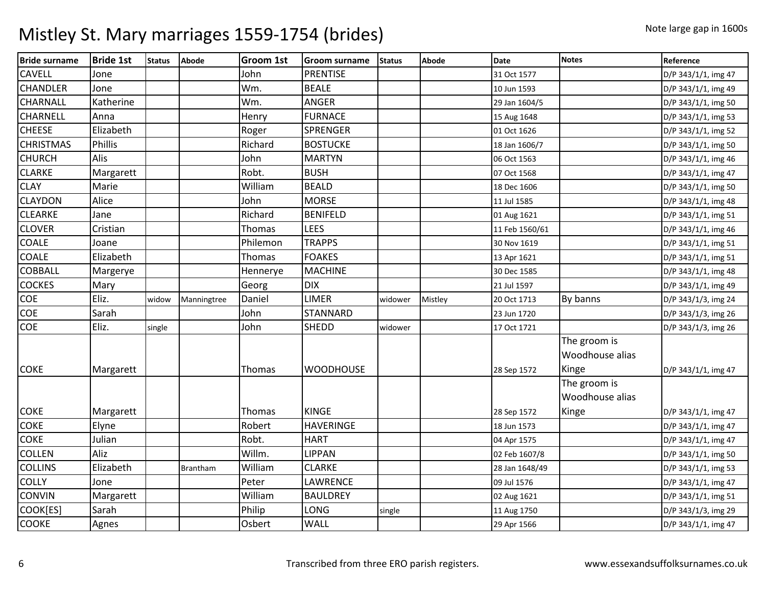| <b>Bride surname</b> | <b>Bride 1st</b> | <b>Status</b> | Abode           | <b>Groom 1st</b> | <b>Groom surname</b> | <b>Status</b> | <b>Abode</b> | Date           | <b>Notes</b>                             | Reference           |
|----------------------|------------------|---------------|-----------------|------------------|----------------------|---------------|--------------|----------------|------------------------------------------|---------------------|
| <b>CAVELL</b>        | Jone             |               |                 | John             | <b>PRENTISE</b>      |               |              | 31 Oct 1577    |                                          | D/P 343/1/1, img 47 |
| <b>CHANDLER</b>      | Jone             |               |                 | Wm.              | <b>BEALE</b>         |               |              | 10 Jun 1593    |                                          | D/P 343/1/1, img 49 |
| <b>CHARNALL</b>      | Katherine        |               |                 | Wm.              | <b>ANGER</b>         |               |              | 29 Jan 1604/5  |                                          | D/P 343/1/1, img 50 |
| <b>CHARNELL</b>      | Anna             |               |                 | Henry            | <b>FURNACE</b>       |               |              | 15 Aug 1648    |                                          | D/P 343/1/1, img 53 |
| <b>CHEESE</b>        | Elizabeth        |               |                 | Roger            | <b>SPRENGER</b>      |               |              | 01 Oct 1626    |                                          | D/P 343/1/1, img 52 |
| <b>CHRISTMAS</b>     | Phillis          |               |                 | Richard          | <b>BOSTUCKE</b>      |               |              | 18 Jan 1606/7  |                                          | D/P 343/1/1, img 50 |
| <b>CHURCH</b>        | Alis             |               |                 | John             | <b>MARTYN</b>        |               |              | 06 Oct 1563    |                                          | D/P 343/1/1, img 46 |
| <b>CLARKE</b>        | Margarett        |               |                 | Robt.            | <b>BUSH</b>          |               |              | 07 Oct 1568    |                                          | D/P 343/1/1, img 47 |
| <b>CLAY</b>          | Marie            |               |                 | William          | <b>BEALD</b>         |               |              | 18 Dec 1606    |                                          | D/P 343/1/1, img 50 |
| <b>CLAYDON</b>       | Alice            |               |                 | John             | <b>MORSE</b>         |               |              | 11 Jul 1585    |                                          | D/P 343/1/1, img 48 |
| <b>CLEARKE</b>       | Jane             |               |                 | Richard          | <b>BENIFELD</b>      |               |              | 01 Aug 1621    |                                          | D/P 343/1/1, img 51 |
| <b>CLOVER</b>        | Cristian         |               |                 | Thomas           | <b>LEES</b>          |               |              | 11 Feb 1560/61 |                                          | D/P 343/1/1, img 46 |
| <b>COALE</b>         | Joane            |               |                 | Philemon         | <b>TRAPPS</b>        |               |              | 30 Nov 1619    |                                          | D/P 343/1/1, img 51 |
| <b>COALE</b>         | Elizabeth        |               |                 | Thomas           | <b>FOAKES</b>        |               |              | 13 Apr 1621    |                                          | D/P 343/1/1, img 51 |
| <b>COBBALL</b>       | Margerye         |               |                 | Hennerye         | <b>MACHINE</b>       |               |              | 30 Dec 1585    |                                          | D/P 343/1/1, img 48 |
| <b>COCKES</b>        | Mary             |               |                 | Georg            | <b>DIX</b>           |               |              | 21 Jul 1597    |                                          | D/P 343/1/1, img 49 |
| COE                  | Eliz.            | widow         | Manningtree     | Daniel           | <b>LIMER</b>         | widower       | Mistley      | 20 Oct 1713    | By banns                                 | D/P 343/1/3, img 24 |
| COE                  | Sarah            |               |                 | John             | <b>STANNARD</b>      |               |              | 23 Jun 1720    |                                          | D/P 343/1/3, img 26 |
| <b>COE</b>           | Eliz.            | single        |                 | John             | <b>SHEDD</b>         | widower       |              | 17 Oct 1721    |                                          | D/P 343/1/3, img 26 |
| <b>COKE</b>          | Margarett        |               |                 | Thomas           | <b>WOODHOUSE</b>     |               |              | 28 Sep 1572    | The groom is<br>Woodhouse alias<br>Kinge | D/P 343/1/1, img 47 |
| <b>COKE</b>          | Margarett        |               |                 | Thomas           | <b>KINGE</b>         |               |              | 28 Sep 1572    | The groom is<br>Woodhouse alias<br>Kinge | D/P 343/1/1, img 47 |
| <b>COKE</b>          | Elyne            |               |                 | Robert           | <b>HAVERINGE</b>     |               |              | 18 Jun 1573    |                                          | D/P 343/1/1, img 47 |
| <b>COKE</b>          | Julian           |               |                 | Robt.            | <b>HART</b>          |               |              | 04 Apr 1575    |                                          | D/P 343/1/1, img 47 |
| <b>COLLEN</b>        | Aliz             |               |                 | Willm.           | <b>LIPPAN</b>        |               |              | 02 Feb 1607/8  |                                          | D/P 343/1/1, img 50 |
| <b>COLLINS</b>       | Elizabeth        |               | <b>Brantham</b> | William          | <b>CLARKE</b>        |               |              | 28 Jan 1648/49 |                                          | D/P 343/1/1, img 53 |
| <b>COLLY</b>         | Jone             |               |                 | Peter            | <b>LAWRENCE</b>      |               |              | 09 Jul 1576    |                                          | D/P 343/1/1, img 47 |
| <b>CONVIN</b>        | Margarett        |               |                 | William          | <b>BAULDREY</b>      |               |              | 02 Aug 1621    |                                          | D/P 343/1/1, img 51 |
| COOK[ES]             | Sarah            |               |                 | Philip           | LONG                 | single        |              | 11 Aug 1750    |                                          | D/P 343/1/3, img 29 |
| <b>COOKE</b>         | Agnes            |               |                 | Osbert           | <b>WALL</b>          |               |              | 29 Apr 1566    |                                          | D/P 343/1/1, img 47 |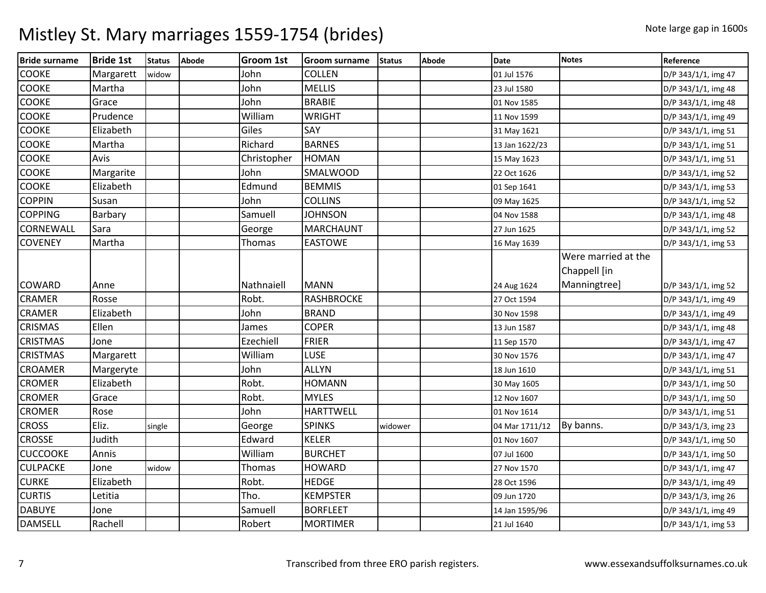| <b>Bride surname</b> | <b>Bride 1st</b> | <b>Status</b> | Abode | <b>Groom 1st</b> | <b>Groom surname</b> | <b>Status</b> | Abode | <b>Date</b>    | <b>Notes</b>                        | Reference           |
|----------------------|------------------|---------------|-------|------------------|----------------------|---------------|-------|----------------|-------------------------------------|---------------------|
| <b>COOKE</b>         | Margarett        | widow         |       | John             | <b>COLLEN</b>        |               |       | 01 Jul 1576    |                                     | D/P 343/1/1, img 47 |
| <b>COOKE</b>         | Martha           |               |       | John             | <b>MELLIS</b>        |               |       | 23 Jul 1580    |                                     | D/P 343/1/1, img 48 |
| <b>COOKE</b>         | Grace            |               |       | John             | <b>BRABIE</b>        |               |       | 01 Nov 1585    |                                     | D/P 343/1/1, img 48 |
| <b>COOKE</b>         | Prudence         |               |       | William          | <b>WRIGHT</b>        |               |       | 11 Nov 1599    |                                     | D/P 343/1/1, img 49 |
| <b>COOKE</b>         | Elizabeth        |               |       | Giles            | SAY                  |               |       | 31 May 1621    |                                     | D/P 343/1/1, img 51 |
| <b>COOKE</b>         | Martha           |               |       | Richard          | <b>BARNES</b>        |               |       | 13 Jan 1622/23 |                                     | D/P 343/1/1, img 51 |
| <b>COOKE</b>         | Avis             |               |       | Christopher      | <b>HOMAN</b>         |               |       | 15 May 1623    |                                     | D/P 343/1/1, img 51 |
| <b>COOKE</b>         | Margarite        |               |       | John             | <b>SMALWOOD</b>      |               |       | 22 Oct 1626    |                                     | D/P 343/1/1, img 52 |
| <b>COOKE</b>         | Elizabeth        |               |       | Edmund           | <b>BEMMIS</b>        |               |       | 01 Sep 1641    |                                     | D/P 343/1/1, img 53 |
| <b>COPPIN</b>        | Susan            |               |       | John             | <b>COLLINS</b>       |               |       | 09 May 1625    |                                     | D/P 343/1/1, img 52 |
| <b>COPPING</b>       | Barbary          |               |       | Samuell          | <b>JOHNSON</b>       |               |       | 04 Nov 1588    |                                     | D/P 343/1/1, img 48 |
| CORNEWALL            | Sara             |               |       | George           | <b>MARCHAUNT</b>     |               |       | 27 Jun 1625    |                                     | D/P 343/1/1, img 52 |
| <b>COVENEY</b>       | Martha           |               |       | Thomas           | <b>EASTOWE</b>       |               |       | 16 May 1639    |                                     | D/P 343/1/1, img 53 |
|                      |                  |               |       |                  |                      |               |       |                | Were married at the<br>Chappell [in |                     |
| <b>COWARD</b>        | Anne             |               |       | Nathnaiell       | <b>MANN</b>          |               |       | 24 Aug 1624    | Manningtree]                        | D/P 343/1/1, img 52 |
| <b>CRAMER</b>        | Rosse            |               |       | Robt.            | <b>RASHBROCKE</b>    |               |       | 27 Oct 1594    |                                     | D/P 343/1/1, img 49 |
| <b>CRAMER</b>        | Elizabeth        |               |       | John             | <b>BRAND</b>         |               |       | 30 Nov 1598    |                                     | D/P 343/1/1, img 49 |
| <b>CRISMAS</b>       | Ellen            |               |       | James            | <b>COPER</b>         |               |       | 13 Jun 1587    |                                     | D/P 343/1/1, img 48 |
| <b>CRISTMAS</b>      | Jone             |               |       | Ezechiell        | <b>FRIER</b>         |               |       | 11 Sep 1570    |                                     | D/P 343/1/1, img 47 |
| <b>CRISTMAS</b>      | Margarett        |               |       | William          | LUSE                 |               |       | 30 Nov 1576    |                                     | D/P 343/1/1, img 47 |
| <b>CROAMER</b>       | Margeryte        |               |       | John             | <b>ALLYN</b>         |               |       | 18 Jun 1610    |                                     | D/P 343/1/1, img 51 |
| <b>CROMER</b>        | Elizabeth        |               |       | Robt.            | <b>HOMANN</b>        |               |       | 30 May 1605    |                                     | D/P 343/1/1, img 50 |
| <b>CROMER</b>        | Grace            |               |       | Robt.            | <b>MYLES</b>         |               |       | 12 Nov 1607    |                                     | D/P 343/1/1, img 50 |
| <b>CROMER</b>        | Rose             |               |       | John             | <b>HARTTWELL</b>     |               |       | 01 Nov 1614    |                                     | D/P 343/1/1, img 51 |
| <b>CROSS</b>         | Eliz.            | single        |       | George           | <b>SPINKS</b>        | widower       |       | 04 Mar 1711/12 | By banns.                           | D/P 343/1/3, img 23 |
| <b>CROSSE</b>        | Judith           |               |       | Edward           | <b>KELER</b>         |               |       | 01 Nov 1607    |                                     | D/P 343/1/1, img 50 |
| <b>CUCCOOKE</b>      | Annis            |               |       | William          | <b>BURCHET</b>       |               |       | 07 Jul 1600    |                                     | D/P 343/1/1, img 50 |
| <b>CULPACKE</b>      | Jone             | widow         |       | Thomas           | <b>HOWARD</b>        |               |       | 27 Nov 1570    |                                     | D/P 343/1/1, img 47 |
| <b>CURKE</b>         | Elizabeth        |               |       | Robt.            | <b>HEDGE</b>         |               |       | 28 Oct 1596    |                                     | D/P 343/1/1, img 49 |
| <b>CURTIS</b>        | Letitia          |               |       | Tho.             | <b>KEMPSTER</b>      |               |       | 09 Jun 1720    |                                     | D/P 343/1/3, img 26 |
| <b>DABUYE</b>        | Jone             |               |       | Samuell          | <b>BORFLEET</b>      |               |       | 14 Jan 1595/96 |                                     | D/P 343/1/1, img 49 |
| <b>DAMSELL</b>       | Rachell          |               |       | Robert           | <b>MORTIMER</b>      |               |       | 21 Jul 1640    |                                     | D/P 343/1/1, img 53 |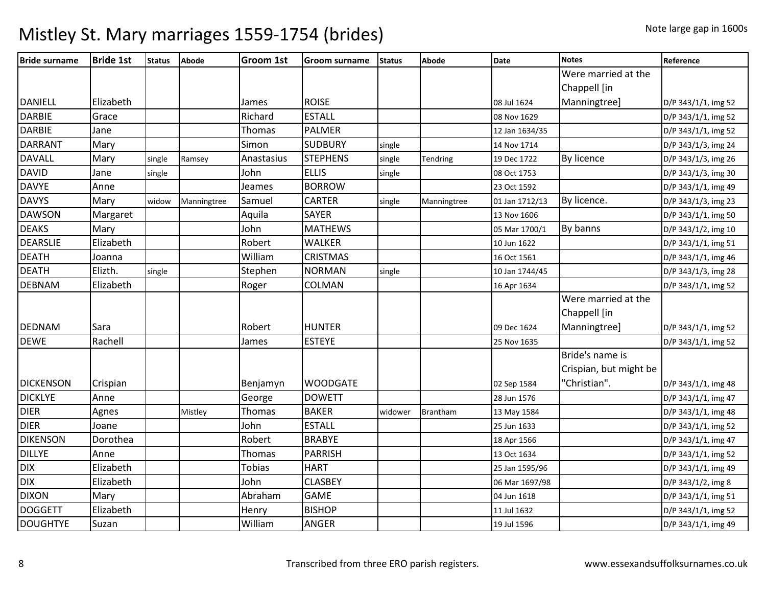| <b>Bride surname</b> | <b>Bride 1st</b> | <b>Status</b> | Abode       | <b>Groom 1st</b> | <b>Groom surname</b> | <b>Status</b> | <b>Abode</b>    | <b>Date</b>    | <b>Notes</b>           | Reference           |
|----------------------|------------------|---------------|-------------|------------------|----------------------|---------------|-----------------|----------------|------------------------|---------------------|
|                      |                  |               |             |                  |                      |               |                 |                | Were married at the    |                     |
|                      |                  |               |             |                  |                      |               |                 |                | Chappell [in           |                     |
| <b>DANIELL</b>       | Elizabeth        |               |             | James            | <b>ROISE</b>         |               |                 | 08 Jul 1624    | Manningtree]           | D/P 343/1/1, img 52 |
| <b>DARBIE</b>        | Grace            |               |             | Richard          | <b>ESTALL</b>        |               |                 | 08 Nov 1629    |                        | D/P 343/1/1, img 52 |
| <b>DARBIE</b>        | Jane             |               |             | Thomas           | <b>PALMER</b>        |               |                 | 12 Jan 1634/35 |                        | D/P 343/1/1, img 52 |
| <b>DARRANT</b>       | Mary             |               |             | Simon            | <b>SUDBURY</b>       | single        |                 | 14 Nov 1714    |                        | D/P 343/1/3, img 24 |
| <b>DAVALL</b>        | Mary             | single        | Ramsey      | Anastasius       | <b>STEPHENS</b>      | single        | Tendring        | 19 Dec 1722    | By licence             | D/P 343/1/3, img 26 |
| <b>DAVID</b>         | Jane             | single        |             | John             | <b>ELLIS</b>         | single        |                 | 08 Oct 1753    |                        | D/P 343/1/3, img 30 |
| <b>DAVYE</b>         | Anne             |               |             | Jeames           | <b>BORROW</b>        |               |                 | 23 Oct 1592    |                        | D/P 343/1/1, img 49 |
| <b>DAVYS</b>         | Mary             | widow         | Manningtree | Samuel           | <b>CARTER</b>        | single        | Manningtree     | 01 Jan 1712/13 | By licence.            | D/P 343/1/3, img 23 |
| <b>DAWSON</b>        | Margaret         |               |             | Aquila           | <b>SAYER</b>         |               |                 | 13 Nov 1606    |                        | D/P 343/1/1, img 50 |
| <b>DEAKS</b>         | Mary             |               |             | John             | <b>MATHEWS</b>       |               |                 | 05 Mar 1700/1  | By banns               | D/P 343/1/2, img 10 |
| <b>DEARSLIE</b>      | Elizabeth        |               |             | Robert           | <b>WALKER</b>        |               |                 | 10 Jun 1622    |                        | D/P 343/1/1, img 51 |
| <b>DEATH</b>         | Joanna           |               |             | William          | <b>CRISTMAS</b>      |               |                 | 16 Oct 1561    |                        | D/P 343/1/1, img 46 |
| <b>DEATH</b>         | Elizth.          | single        |             | Stephen          | <b>NORMAN</b>        | single        |                 | 10 Jan 1744/45 |                        | D/P 343/1/3, img 28 |
| <b>DEBNAM</b>        | Elizabeth        |               |             | Roger            | COLMAN               |               |                 | 16 Apr 1634    |                        | D/P 343/1/1, img 52 |
|                      |                  |               |             |                  |                      |               |                 |                | Were married at the    |                     |
|                      |                  |               |             |                  |                      |               |                 |                | Chappell [in           |                     |
| <b>DEDNAM</b>        | Sara             |               |             | Robert           | <b>HUNTER</b>        |               |                 | 09 Dec 1624    | Manningtree]           | D/P 343/1/1, img 52 |
| <b>DEWE</b>          | Rachell          |               |             | James            | <b>ESTEYE</b>        |               |                 | 25 Nov 1635    |                        | D/P 343/1/1, img 52 |
|                      |                  |               |             |                  |                      |               |                 |                | Bride's name is        |                     |
|                      |                  |               |             |                  |                      |               |                 |                | Crispian, but might be |                     |
| <b>DICKENSON</b>     | Crispian         |               |             | Benjamyn         | <b>WOODGATE</b>      |               |                 | 02 Sep 1584    | 'Christian".           | D/P 343/1/1, img 48 |
| <b>DICKLYE</b>       | Anne             |               |             | George           | <b>DOWETT</b>        |               |                 | 28 Jun 1576    |                        | D/P 343/1/1, img 47 |
| <b>DIER</b>          | Agnes            |               | Mistley     | Thomas           | <b>BAKER</b>         | widower       | <b>Brantham</b> | 13 May 1584    |                        | D/P 343/1/1, img 48 |
| <b>DIER</b>          | Joane            |               |             | John             | <b>ESTALL</b>        |               |                 | 25 Jun 1633    |                        | D/P 343/1/1, img 52 |
| <b>DIKENSON</b>      | Dorothea         |               |             | Robert           | <b>BRABYE</b>        |               |                 | 18 Apr 1566    |                        | D/P 343/1/1, img 47 |
| <b>DILLYE</b>        | Anne             |               |             | Thomas           | <b>PARRISH</b>       |               |                 | 13 Oct 1634    |                        | D/P 343/1/1, img 52 |
| <b>DIX</b>           | Elizabeth        |               |             | <b>Tobias</b>    | <b>HART</b>          |               |                 | 25 Jan 1595/96 |                        | D/P 343/1/1, img 49 |
| <b>DIX</b>           | Elizabeth        |               |             | John             | <b>CLASBEY</b>       |               |                 | 06 Mar 1697/98 |                        | D/P 343/1/2, img 8  |
| <b>DIXON</b>         | Mary             |               |             | Abraham          | <b>GAME</b>          |               |                 | 04 Jun 1618    |                        | D/P 343/1/1, img 51 |
| <b>DOGGETT</b>       | Elizabeth        |               |             | Henry            | <b>BISHOP</b>        |               |                 | 11 Jul 1632    |                        | D/P 343/1/1, img 52 |
| <b>DOUGHTYE</b>      | Suzan            |               |             | William          | <b>ANGER</b>         |               |                 | 19 Jul 1596    |                        | D/P 343/1/1, img 49 |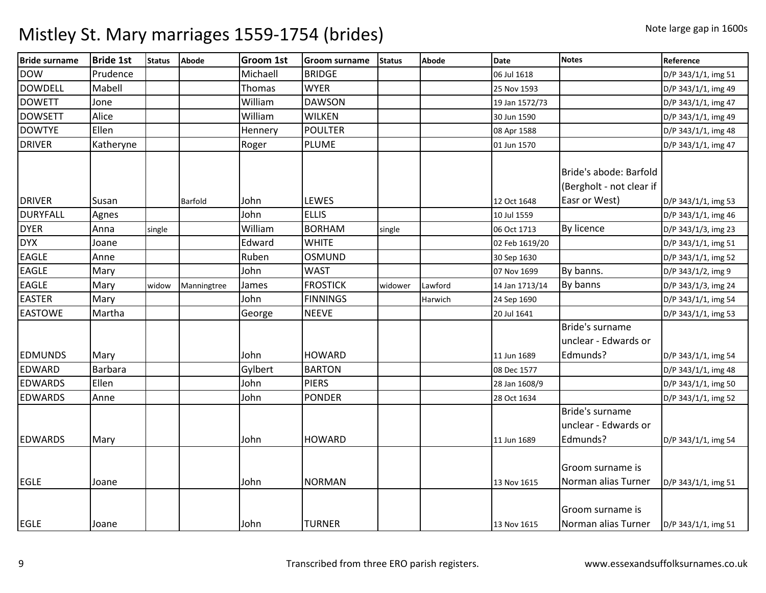| <b>Bride surname</b> | <b>Bride 1st</b> | <b>Status</b> | Abode          | <b>Groom 1st</b> | <b>Groom surname</b> | <b>Status</b> | <b>Abode</b> | <b>Date</b>    | <b>Notes</b>             | Reference           |
|----------------------|------------------|---------------|----------------|------------------|----------------------|---------------|--------------|----------------|--------------------------|---------------------|
| <b>DOW</b>           | Prudence         |               |                | Michaell         | <b>BRIDGE</b>        |               |              | 06 Jul 1618    |                          | D/P 343/1/1, img 51 |
| <b>DOWDELL</b>       | Mabell           |               |                | Thomas           | <b>WYER</b>          |               |              | 25 Nov 1593    |                          | D/P 343/1/1, img 49 |
| <b>DOWETT</b>        | Jone             |               |                | William          | <b>DAWSON</b>        |               |              | 19 Jan 1572/73 |                          | D/P 343/1/1, img 47 |
| <b>DOWSETT</b>       | Alice            |               |                | William          | <b>WILKEN</b>        |               |              | 30 Jun 1590    |                          | D/P 343/1/1, img 49 |
| <b>DOWTYE</b>        | Ellen            |               |                | Hennery          | <b>POULTER</b>       |               |              | 08 Apr 1588    |                          | D/P 343/1/1, img 48 |
| <b>DRIVER</b>        | Katheryne        |               |                | Roger            | <b>PLUME</b>         |               |              | 01 Jun 1570    |                          | D/P 343/1/1, img 47 |
|                      |                  |               |                |                  |                      |               |              |                | Bride's abode: Barfold   |                     |
|                      |                  |               |                |                  |                      |               |              |                | (Bergholt - not clear if |                     |
| <b>DRIVER</b>        | Susan            |               | <b>Barfold</b> | John             | LEWES                |               |              | 12 Oct 1648    | Easr or West)            | D/P 343/1/1, img 53 |
| <b>DURYFALL</b>      | Agnes            |               |                | John             | <b>ELLIS</b>         |               |              | 10 Jul 1559    |                          | D/P 343/1/1, img 46 |
| <b>DYER</b>          | Anna             | single        |                | William          | <b>BORHAM</b>        | single        |              | 06 Oct 1713    | By licence               | D/P 343/1/3, img 23 |
| <b>DYX</b>           | Joane            |               |                | Edward           | <b>WHITE</b>         |               |              | 02 Feb 1619/20 |                          | D/P 343/1/1, img 51 |
| <b>EAGLE</b>         | Anne             |               |                | Ruben            | <b>OSMUND</b>        |               |              | 30 Sep 1630    |                          | D/P 343/1/1, img 52 |
| <b>EAGLE</b>         | Mary             |               |                | John             | <b>WAST</b>          |               |              | 07 Nov 1699    | By banns.                | D/P 343/1/2, img 9  |
| <b>EAGLE</b>         | Mary             | widow         | Manningtree    | James            | <b>FROSTICK</b>      | widower       | Lawford      | 14 Jan 1713/14 | By banns                 | D/P 343/1/3, img 24 |
| <b>EASTER</b>        | Mary             |               |                | John             | <b>FINNINGS</b>      |               | Harwich      | 24 Sep 1690    |                          | D/P 343/1/1, img 54 |
| <b>EASTOWE</b>       | Martha           |               |                | George           | <b>NEEVE</b>         |               |              | 20 Jul 1641    |                          | D/P 343/1/1, img 53 |
|                      |                  |               |                |                  |                      |               |              |                | Bride's surname          |                     |
|                      |                  |               |                |                  |                      |               |              |                | unclear - Edwards or     |                     |
| <b>EDMUNDS</b>       | Mary             |               |                | John             | <b>HOWARD</b>        |               |              | 11 Jun 1689    | Edmunds?                 | D/P 343/1/1, img 54 |
| <b>EDWARD</b>        | <b>Barbara</b>   |               |                | Gylbert          | <b>BARTON</b>        |               |              | 08 Dec 1577    |                          | D/P 343/1/1, img 48 |
| <b>EDWARDS</b>       | Ellen            |               |                | John             | <b>PIERS</b>         |               |              | 28 Jan 1608/9  |                          | D/P 343/1/1, img 50 |
| <b>EDWARDS</b>       | Anne             |               |                | John             | <b>PONDER</b>        |               |              | 28 Oct 1634    |                          | D/P 343/1/1, img 52 |
|                      |                  |               |                |                  |                      |               |              |                | Bride's surname          |                     |
|                      |                  |               |                |                  |                      |               |              |                | unclear - Edwards or     |                     |
| <b>EDWARDS</b>       | Mary             |               |                | John             | <b>HOWARD</b>        |               |              | 11 Jun 1689    | Edmunds?                 | D/P 343/1/1, img 54 |
|                      |                  |               |                |                  |                      |               |              |                |                          |                     |
|                      |                  |               |                |                  |                      |               |              |                | Groom surname is         |                     |
| <b>EGLE</b>          | Joane            |               |                | John             | <b>NORMAN</b>        |               |              | 13 Nov 1615    | Norman alias Turner      | D/P 343/1/1, img 51 |
|                      |                  |               |                |                  |                      |               |              |                | Groom surname is         |                     |
| <b>EGLE</b>          | Joane            |               |                | John             | <b>TURNER</b>        |               |              | 13 Nov 1615    | Norman alias Turner      | D/P 343/1/1, img 51 |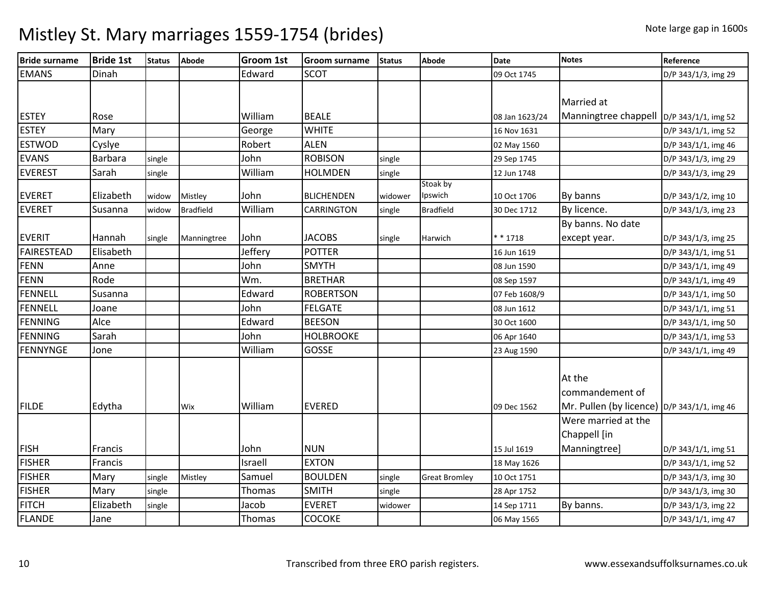| <b>Bride surname</b> | <b>Bride 1st</b> | <b>Status</b> | Abode            | <b>Groom 1st</b> | <b>Groom surname</b> | <b>Status</b> | <b>Abode</b>         | <b>Date</b>    | <b>Notes</b>                                  | Reference           |
|----------------------|------------------|---------------|------------------|------------------|----------------------|---------------|----------------------|----------------|-----------------------------------------------|---------------------|
| <b>EMANS</b>         | Dinah            |               |                  | Edward           | <b>SCOT</b>          |               |                      | 09 Oct 1745    |                                               | D/P 343/1/3, img 29 |
|                      |                  |               |                  |                  |                      |               |                      |                |                                               |                     |
|                      |                  |               |                  |                  |                      |               |                      |                | Married at                                    |                     |
| <b>ESTEY</b>         | Rose             |               |                  | William          | <b>BEALE</b>         |               |                      | 08 Jan 1623/24 | Manningtree chappell  D/P 343/1/1, img 52     |                     |
| <b>ESTEY</b>         | Mary             |               |                  | George           | <b>WHITE</b>         |               |                      | 16 Nov 1631    |                                               | D/P 343/1/1, img 52 |
| <b>ESTWOD</b>        | Cyslye           |               |                  | Robert           | <b>ALEN</b>          |               |                      | 02 May 1560    |                                               | D/P 343/1/1, img 46 |
| <b>EVANS</b>         | Barbara          | single        |                  | John             | <b>ROBISON</b>       | single        |                      | 29 Sep 1745    |                                               | D/P 343/1/3, img 29 |
| <b>EVEREST</b>       | Sarah            | single        |                  | William          | <b>HOLMDEN</b>       | single        |                      | 12 Jun 1748    |                                               | D/P 343/1/3, img 29 |
| <b>EVERET</b>        | Elizabeth        | widow         | Mistley          | John             | <b>BLICHENDEN</b>    | widower       | Stoak by<br>Ipswich  | 10 Oct 1706    | By banns                                      | D/P 343/1/2, img 10 |
| <b>EVERET</b>        | Susanna          | widow         | <b>Bradfield</b> | William          | <b>CARRINGTON</b>    | single        | <b>Bradfield</b>     | 30 Dec 1712    | By licence.                                   | D/P 343/1/3, img 23 |
|                      |                  |               |                  |                  |                      |               |                      |                | By banns. No date                             |                     |
| <b>EVERIT</b>        | Hannah           | single        | Manningtree      | John             | <b>JACOBS</b>        | single        | Harwich              | * * 1718       | except year.                                  | D/P 343/1/3, img 25 |
| <b>FAIRESTEAD</b>    | Elisabeth        |               |                  | Jeffery          | <b>POTTER</b>        |               |                      | 16 Jun 1619    |                                               | D/P 343/1/1, img 51 |
| <b>FENN</b>          | Anne             |               |                  | John             | <b>SMYTH</b>         |               |                      | 08 Jun 1590    |                                               | D/P 343/1/1, img 49 |
| <b>FENN</b>          | Rode             |               |                  | Wm.              | <b>BRETHAR</b>       |               |                      | 08 Sep 1597    |                                               | D/P 343/1/1, img 49 |
| FENNELL              | Susanna          |               |                  | Edward           | <b>ROBERTSON</b>     |               |                      | 07 Feb 1608/9  |                                               | D/P 343/1/1, img 50 |
| FENNELL              | Joane            |               |                  | John             | <b>FELGATE</b>       |               |                      | 08 Jun 1612    |                                               | D/P 343/1/1, img 51 |
| <b>FENNING</b>       | Alce             |               |                  | Edward           | <b>BEESON</b>        |               |                      | 30 Oct 1600    |                                               | D/P 343/1/1, img 50 |
| FENNING              | Sarah            |               |                  | John             | <b>HOLBROOKE</b>     |               |                      | 06 Apr 1640    |                                               | D/P 343/1/1, img 53 |
| <b>FENNYNGE</b>      | Jone             |               |                  | William          | GOSSE                |               |                      | 23 Aug 1590    |                                               | D/P 343/1/1, img 49 |
|                      |                  |               |                  |                  |                      |               |                      |                | At the                                        |                     |
|                      |                  |               |                  |                  |                      |               |                      |                | commandement of                               |                     |
| <b>FILDE</b>         | Edytha           |               | Wix              | William          | <b>EVERED</b>        |               |                      | 09 Dec 1562    | Mr. Pullen (by licence) $D/P$ 343/1/1, img 46 |                     |
|                      |                  |               |                  |                  |                      |               |                      |                | Were married at the                           |                     |
|                      |                  |               |                  |                  |                      |               |                      |                | Chappell [in                                  |                     |
| <b>FISH</b>          | <b>Francis</b>   |               |                  | John             | <b>NUN</b>           |               |                      | 15 Jul 1619    | Manningtree]                                  | D/P 343/1/1, img 51 |
| <b>FISHER</b>        | Francis          |               |                  | Israell          | <b>EXTON</b>         |               |                      | 18 May 1626    |                                               | D/P 343/1/1, img 52 |
| <b>FISHER</b>        | Mary             | single        | Mistley          | Samuel           | <b>BOULDEN</b>       | single        | <b>Great Bromley</b> | 10 Oct 1751    |                                               | D/P 343/1/3, img 30 |
| <b>FISHER</b>        | Mary             | single        |                  | Thomas           | <b>SMITH</b>         | single        |                      | 28 Apr 1752    |                                               | D/P 343/1/3, img 30 |
| <b>FITCH</b>         | Elizabeth        | single        |                  | Jacob            | <b>EVERET</b>        | widower       |                      | 14 Sep 1711    | By banns.                                     | D/P 343/1/3, img 22 |
| <b>FLANDE</b>        | Jane             |               |                  | Thomas           | <b>COCOKE</b>        |               |                      | 06 May 1565    |                                               | D/P 343/1/1, img 47 |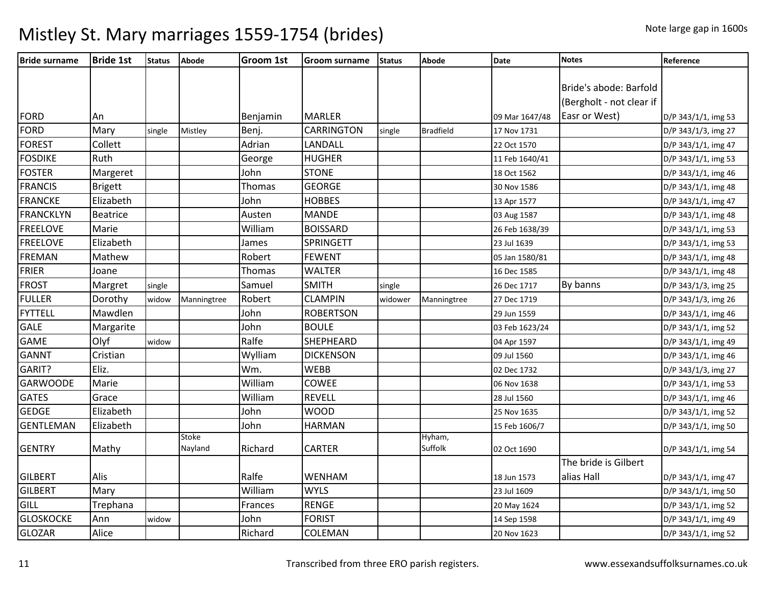| <b>Bride surname</b> | <b>Bride 1st</b> | <b>Status</b> | Abode                   | <b>Groom 1st</b> | <b>Groom surname</b> | <b>Status</b> | <b>Abode</b>      | <b>Date</b>    | <b>Notes</b>             | Reference           |
|----------------------|------------------|---------------|-------------------------|------------------|----------------------|---------------|-------------------|----------------|--------------------------|---------------------|
|                      |                  |               |                         |                  |                      |               |                   |                |                          |                     |
|                      |                  |               |                         |                  |                      |               |                   |                | Bride's abode: Barfold   |                     |
|                      |                  |               |                         |                  |                      |               |                   |                | (Bergholt - not clear if |                     |
| <b>FORD</b>          | An               |               |                         | Benjamin         | <b>MARLER</b>        |               |                   | 09 Mar 1647/48 | Easr or West)            | D/P 343/1/1, img 53 |
| <b>FORD</b>          | Mary             | single        | Mistley                 | Benj.            | <b>CARRINGTON</b>    | single        | <b>Bradfield</b>  | 17 Nov 1731    |                          | D/P 343/1/3, img 27 |
| <b>FOREST</b>        | Collett          |               |                         | Adrian           | LANDALL              |               |                   | 22 Oct 1570    |                          | D/P 343/1/1, img 47 |
| <b>FOSDIKE</b>       | Ruth             |               |                         | George           | <b>HUGHER</b>        |               |                   | 11 Feb 1640/41 |                          | D/P 343/1/1, img 53 |
| <b>FOSTER</b>        | Margeret         |               |                         | John             | <b>STONE</b>         |               |                   | 18 Oct 1562    |                          | D/P 343/1/1, img 46 |
| <b>FRANCIS</b>       | <b>Brigett</b>   |               |                         | Thomas           | <b>GEORGE</b>        |               |                   | 30 Nov 1586    |                          | D/P 343/1/1, img 48 |
| <b>FRANCKE</b>       | Elizabeth        |               |                         | John             | <b>HOBBES</b>        |               |                   | 13 Apr 1577    |                          | D/P 343/1/1, img 47 |
| <b>FRANCKLYN</b>     | <b>Beatrice</b>  |               |                         | Austen           | <b>MANDE</b>         |               |                   | 03 Aug 1587    |                          | D/P 343/1/1, img 48 |
| <b>FREELOVE</b>      | Marie            |               |                         | William          | <b>BOISSARD</b>      |               |                   | 26 Feb 1638/39 |                          | D/P 343/1/1, img 53 |
| <b>FREELOVE</b>      | Elizabeth        |               |                         | James            | <b>SPRINGETT</b>     |               |                   | 23 Jul 1639    |                          | D/P 343/1/1, img 53 |
| <b>FREMAN</b>        | Mathew           |               |                         | Robert           | <b>FEWENT</b>        |               |                   | 05 Jan 1580/81 |                          | D/P 343/1/1, img 48 |
| <b>FRIER</b>         | Joane            |               |                         | Thomas           | <b>WALTER</b>        |               |                   | 16 Dec 1585    |                          | D/P 343/1/1, img 48 |
| <b>FROST</b>         | Margret          | single        |                         | Samuel           | <b>SMITH</b>         | single        |                   | 26 Dec 1717    | By banns                 | D/P 343/1/3, img 25 |
| <b>FULLER</b>        | Dorothy          | widow         | Manningtree             | Robert           | <b>CLAMPIN</b>       | widower       | Manningtree       | 27 Dec 1719    |                          | D/P 343/1/3, img 26 |
| <b>FYTTELL</b>       | Mawdlen          |               |                         | John             | <b>ROBERTSON</b>     |               |                   | 29 Jun 1559    |                          | D/P 343/1/1, img 46 |
| <b>GALE</b>          | Margarite        |               |                         | John             | <b>BOULE</b>         |               |                   | 03 Feb 1623/24 |                          | D/P 343/1/1, img 52 |
| <b>GAME</b>          | Olyf             | widow         |                         | Ralfe            | <b>SHEPHEARD</b>     |               |                   | 04 Apr 1597    |                          | D/P 343/1/1, img 49 |
| <b>GANNT</b>         | Cristian         |               |                         | Wylliam          | <b>DICKENSON</b>     |               |                   | 09 Jul 1560    |                          | D/P 343/1/1, img 46 |
| GARIT?               | Eliz.            |               |                         | Wm.              | <b>WEBB</b>          |               |                   | 02 Dec 1732    |                          | D/P 343/1/3, img 27 |
| <b>GARWOODE</b>      | Marie            |               |                         | William          | <b>COWEE</b>         |               |                   | 06 Nov 1638    |                          | D/P 343/1/1, img 53 |
| <b>GATES</b>         | Grace            |               |                         | William          | <b>REVELL</b>        |               |                   | 28 Jul 1560    |                          | D/P 343/1/1, img 46 |
| GEDGE                | Elizabeth        |               |                         | John             | <b>WOOD</b>          |               |                   | 25 Nov 1635    |                          | D/P 343/1/1, img 52 |
| <b>GENTLEMAN</b>     | Elizabeth        |               |                         | John             | <b>HARMAN</b>        |               |                   | 15 Feb 1606/7  |                          | D/P 343/1/1, img 50 |
| <b>GENTRY</b>        |                  |               | <b>Stoke</b><br>Nayland | Richard          | <b>CARTER</b>        |               | Hyham,<br>Suffolk |                |                          |                     |
|                      | Mathy            |               |                         |                  |                      |               |                   | 02 Oct 1690    | The bride is Gilbert     | D/P 343/1/1, img 54 |
| <b>GILBERT</b>       |                  |               |                         | Ralfe            |                      |               |                   |                | alias Hall               |                     |
|                      | Alis             |               |                         |                  | WENHAM               |               |                   | 18 Jun 1573    |                          | D/P 343/1/1, img 47 |
| <b>GILBERT</b>       | Mary             |               |                         | William          | <b>WYLS</b>          |               |                   | 23 Jul 1609    |                          | D/P 343/1/1, img 50 |
| GILL                 | Trephana         |               |                         | Frances          | <b>RENGE</b>         |               |                   | 20 May 1624    |                          | D/P 343/1/1, img 52 |
| <b>GLOSKOCKE</b>     | Ann              | widow         |                         | John             | <b>FORIST</b>        |               |                   | 14 Sep 1598    |                          | D/P 343/1/1, img 49 |
| <b>GLOZAR</b>        | Alice            |               |                         | Richard          | COLEMAN              |               |                   | 20 Nov 1623    |                          | D/P 343/1/1, img 52 |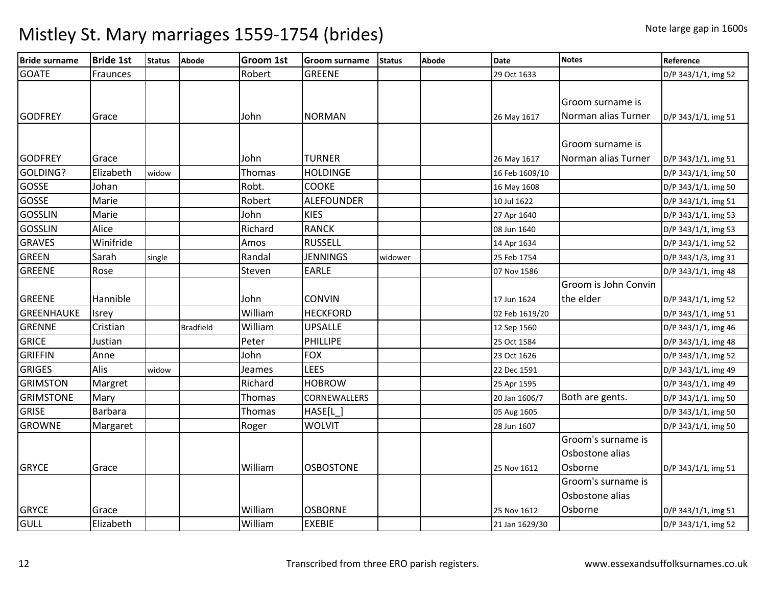| <b>Bride surname</b> | <b>Bride 1st</b> | <b>Status</b> | Abode            | <b>Groom 1st</b> | <b>Groom surname</b> | <b>Status</b> | Abode | <b>Date</b>    | <b>Notes</b>         | Reference           |
|----------------------|------------------|---------------|------------------|------------------|----------------------|---------------|-------|----------------|----------------------|---------------------|
| <b>GOATE</b>         | Fraunces         |               |                  | Robert           | <b>GREENE</b>        |               |       | 29 Oct 1633    |                      | D/P 343/1/1, img 52 |
|                      |                  |               |                  |                  |                      |               |       |                |                      |                     |
|                      |                  |               |                  |                  |                      |               |       |                | Groom surname is     |                     |
| <b>GODFREY</b>       | Grace            |               |                  | John             | <b>NORMAN</b>        |               |       | 26 May 1617    | Norman alias Turner  | D/P 343/1/1, img 51 |
|                      |                  |               |                  |                  |                      |               |       |                |                      |                     |
|                      |                  |               |                  |                  |                      |               |       |                | Groom surname is     |                     |
| <b>GODFREY</b>       | Grace            |               |                  | John             | <b>TURNER</b>        |               |       | 26 May 1617    | Norman alias Turner  | D/P 343/1/1, img 51 |
| GOLDING?             | Elizabeth        | widow         |                  | Thomas           | <b>HOLDINGE</b>      |               |       | 16 Feb 1609/10 |                      | D/P 343/1/1, img 50 |
| <b>GOSSE</b>         | Johan            |               |                  | Robt.            | <b>COOKE</b>         |               |       | 16 May 1608    |                      | D/P 343/1/1, img 50 |
| <b>GOSSE</b>         | Marie            |               |                  | Robert           | <b>ALEFOUNDER</b>    |               |       | 10 Jul 1622    |                      | D/P 343/1/1, img 51 |
| <b>GOSSLIN</b>       | Marie            |               |                  | John             | <b>KIES</b>          |               |       | 27 Apr 1640    |                      | D/P 343/1/1, img 53 |
| <b>GOSSLIN</b>       | Alice            |               |                  | Richard          | <b>RANCK</b>         |               |       | 08 Jun 1640    |                      | D/P 343/1/1, img 53 |
| <b>GRAVES</b>        | Winifride        |               |                  | Amos             | <b>RUSSELL</b>       |               |       | 14 Apr 1634    |                      | D/P 343/1/1, img 52 |
| <b>GREEN</b>         | Sarah            | single        |                  | Randal           | <b>JENNINGS</b>      | widower       |       | 25 Feb 1754    |                      | D/P 343/1/3, img 31 |
| <b>GREENE</b>        | Rose             |               |                  | Steven           | <b>EARLE</b>         |               |       | 07 Nov 1586    |                      | D/P 343/1/1, img 48 |
|                      |                  |               |                  |                  |                      |               |       |                | Groom is John Convin |                     |
| <b>GREENE</b>        | Hannible         |               |                  | John             | <b>CONVIN</b>        |               |       | 17 Jun 1624    | the elder            | D/P 343/1/1, img 52 |
| <b>GREENHAUKE</b>    | Isrey            |               |                  | William          | <b>HECKFORD</b>      |               |       | 02 Feb 1619/20 |                      | D/P 343/1/1, img 51 |
| <b>GRENNE</b>        | Cristian         |               | <b>Bradfield</b> | William          | <b>UPSALLE</b>       |               |       | 12 Sep 1560    |                      | D/P 343/1/1, img 46 |
| <b>GRICE</b>         | Justian          |               |                  | Peter            | <b>PHILLIPE</b>      |               |       | 25 Oct 1584    |                      | D/P 343/1/1, img 48 |
| <b>GRIFFIN</b>       | Anne             |               |                  | John             | <b>FOX</b>           |               |       | 23 Oct 1626    |                      | D/P 343/1/1, img 52 |
| <b>GRIGES</b>        | Alis             | widow         |                  | Jeames           | <b>LEES</b>          |               |       | 22 Dec 1591    |                      | D/P 343/1/1, img 49 |
| <b>GRIMSTON</b>      | Margret          |               |                  | Richard          | <b>HOBROW</b>        |               |       | 25 Apr 1595    |                      | D/P 343/1/1, img 49 |
| <b>GRIMSTONE</b>     | Mary             |               |                  | Thomas           | CORNEWALLERS         |               |       | 20 Jan 1606/7  | Both are gents.      | D/P 343/1/1, img 50 |
| <b>GRISE</b>         | Barbara          |               |                  | Thomas           | HASE[L]              |               |       | 05 Aug 1605    |                      | D/P 343/1/1, img 50 |
| <b>GROWNE</b>        | Margaret         |               |                  | Roger            | <b>WOLVIT</b>        |               |       | 28 Jun 1607    |                      | D/P 343/1/1, img 50 |
|                      |                  |               |                  |                  |                      |               |       |                | Groom's surname is   |                     |
|                      |                  |               |                  |                  |                      |               |       |                | Osbostone alias      |                     |
| <b>GRYCE</b>         | Grace            |               |                  | William          | <b>OSBOSTONE</b>     |               |       | 25 Nov 1612    | Osborne              | D/P 343/1/1, img 51 |
|                      |                  |               |                  |                  |                      |               |       |                | Groom's surname is   |                     |
|                      |                  |               |                  |                  |                      |               |       |                | Osbostone alias      |                     |
| <b>GRYCE</b>         | Grace            |               |                  | William          | <b>OSBORNE</b>       |               |       | 25 Nov 1612    | Osborne              | D/P 343/1/1, img 51 |
| GULL                 | Elizabeth        |               |                  | William          | <b>EXEBIE</b>        |               |       | 21 Jan 1629/30 |                      | D/P 343/1/1, img 52 |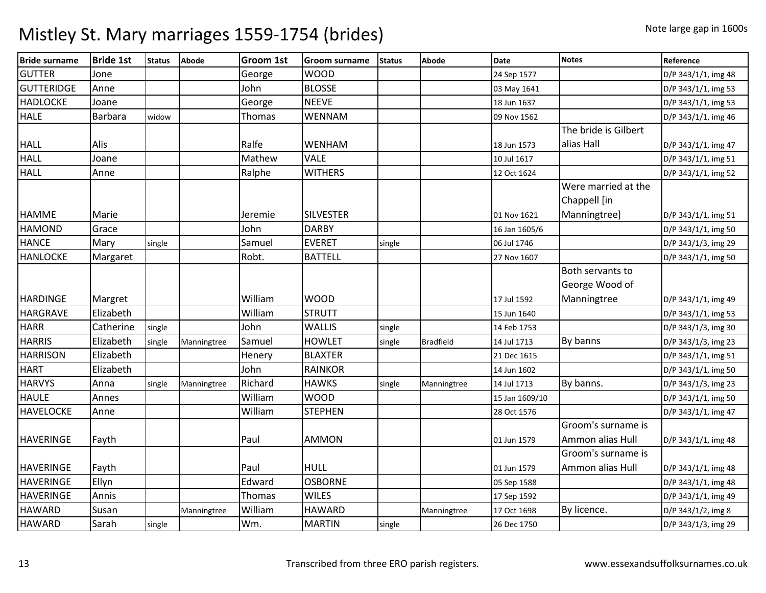| <b>Bride surname</b> | <b>Bride 1st</b> | <b>Status</b> | <b>Abode</b> | <b>Groom 1st</b> | <b>Groom surname</b> | <b>Status</b> | <b>Abode</b>     | <b>Date</b>    | <b>Notes</b>         | Reference           |
|----------------------|------------------|---------------|--------------|------------------|----------------------|---------------|------------------|----------------|----------------------|---------------------|
| <b>GUTTER</b>        | Jone             |               |              | George           | <b>WOOD</b>          |               |                  | 24 Sep 1577    |                      | D/P 343/1/1, img 48 |
| <b>GUTTERIDGE</b>    | Anne             |               |              | John             | <b>BLOSSE</b>        |               |                  | 03 May 1641    |                      | D/P 343/1/1, img 53 |
| <b>HADLOCKE</b>      | Joane            |               |              | George           | <b>NEEVE</b>         |               |                  | 18 Jun 1637    |                      | D/P 343/1/1, img 53 |
| <b>HALE</b>          | <b>Barbara</b>   | widow         |              | Thomas           | <b>WENNAM</b>        |               |                  | 09 Nov 1562    |                      | D/P 343/1/1, img 46 |
|                      |                  |               |              |                  |                      |               |                  |                | The bride is Gilbert |                     |
| <b>HALL</b>          | Alis             |               |              | Ralfe            | <b>WENHAM</b>        |               |                  | 18 Jun 1573    | alias Hall           | D/P 343/1/1, img 47 |
| <b>HALL</b>          | Joane            |               |              | Mathew           | <b>VALE</b>          |               |                  | 10 Jul 1617    |                      | D/P 343/1/1, img 51 |
| <b>HALL</b>          | Anne             |               |              | Ralphe           | <b>WITHERS</b>       |               |                  | 12 Oct 1624    |                      | D/P 343/1/1, img 52 |
|                      |                  |               |              |                  |                      |               |                  |                | Were married at the  |                     |
|                      |                  |               |              |                  |                      |               |                  |                | Chappell [in         |                     |
| <b>HAMME</b>         | Marie            |               |              | Jeremie          | <b>SILVESTER</b>     |               |                  | 01 Nov 1621    | Manningtree]         | D/P 343/1/1, img 51 |
| <b>HAMOND</b>        | Grace            |               |              | John             | <b>DARBY</b>         |               |                  | 16 Jan 1605/6  |                      | D/P 343/1/1, img 50 |
| <b>HANCE</b>         | Mary             | single        |              | Samuel           | <b>EVERET</b>        | single        |                  | 06 Jul 1746    |                      | D/P 343/1/3, img 29 |
| <b>HANLOCKE</b>      | Margaret         |               |              | Robt.            | <b>BATTELL</b>       |               |                  | 27 Nov 1607    |                      | D/P 343/1/1, img 50 |
|                      |                  |               |              |                  |                      |               |                  |                | Both servants to     |                     |
|                      |                  |               |              |                  |                      |               |                  |                | George Wood of       |                     |
| <b>HARDINGE</b>      | Margret          |               |              | William          | <b>WOOD</b>          |               |                  | 17 Jul 1592    | Manningtree          | D/P 343/1/1, img 49 |
| <b>HARGRAVE</b>      | Elizabeth        |               |              | William          | <b>STRUTT</b>        |               |                  | 15 Jun 1640    |                      | D/P 343/1/1, img 53 |
| <b>HARR</b>          | Catherine        | single        |              | John             | <b>WALLIS</b>        | single        |                  | 14 Feb 1753    |                      | D/P 343/1/3, img 30 |
| <b>HARRIS</b>        | Elizabeth        | single        | Manningtree  | Samuel           | <b>HOWLET</b>        | single        | <b>Bradfield</b> | 14 Jul 1713    | By banns             | D/P 343/1/3, img 23 |
| <b>HARRISON</b>      | Elizabeth        |               |              | Henery           | <b>BLAXTER</b>       |               |                  | 21 Dec 1615    |                      | D/P 343/1/1, img 51 |
| <b>HART</b>          | Elizabeth        |               |              | John             | <b>RAINKOR</b>       |               |                  | 14 Jun 1602    |                      | D/P 343/1/1, img 50 |
| <b>HARVYS</b>        | Anna             | single        | Manningtree  | Richard          | <b>HAWKS</b>         | single        | Manningtree      | 14 Jul 1713    | By banns.            | D/P 343/1/3, img 23 |
| <b>HAULE</b>         | Annes            |               |              | William          | <b>WOOD</b>          |               |                  | 15 Jan 1609/10 |                      | D/P 343/1/1, img 50 |
| <b>HAVELOCKE</b>     | Anne             |               |              | William          | <b>STEPHEN</b>       |               |                  | 28 Oct 1576    |                      | D/P 343/1/1, img 47 |
|                      |                  |               |              |                  |                      |               |                  |                | Groom's surname is   |                     |
| <b>HAVERINGE</b>     | Fayth            |               |              | Paul             | <b>AMMON</b>         |               |                  | 01 Jun 1579    | Ammon alias Hull     | D/P 343/1/1, img 48 |
|                      |                  |               |              |                  |                      |               |                  |                | Groom's surname is   |                     |
| <b>HAVERINGE</b>     | Fayth            |               |              | Paul             | <b>HULL</b>          |               |                  | 01 Jun 1579    | Ammon alias Hull     | D/P 343/1/1, img 48 |
| <b>HAVERINGE</b>     | Ellyn            |               |              | Edward           | <b>OSBORNE</b>       |               |                  | 05 Sep 1588    |                      | D/P 343/1/1, img 48 |
| <b>HAVERINGE</b>     | Annis            |               |              | Thomas           | <b>WILES</b>         |               |                  | 17 Sep 1592    |                      | D/P 343/1/1, img 49 |
| <b>HAWARD</b>        | Susan            |               | Manningtree  | William          | <b>HAWARD</b>        |               | Manningtree      | 17 Oct 1698    | By licence.          | D/P 343/1/2, img 8  |
| <b>HAWARD</b>        | Sarah            | single        |              | Wm.              | <b>MARTIN</b>        | single        |                  | 26 Dec 1750    |                      | D/P 343/1/3, img 29 |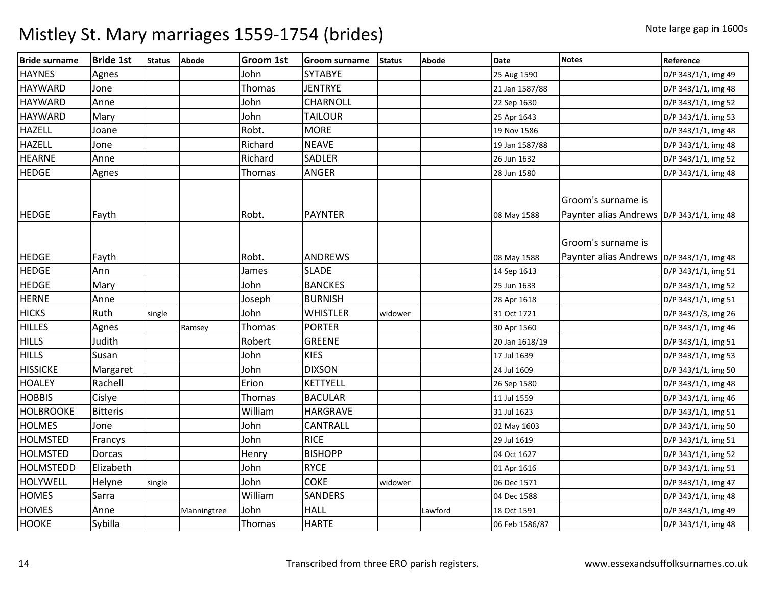| <b>Bride surname</b> | <b>Bride 1st</b> | <b>Status</b> | Abode       | <b>Groom 1st</b> | <b>Groom surname</b> | <b>Status</b> | <b>Abode</b> | <b>Date</b>    | <b>Notes</b>                                                      | Reference           |
|----------------------|------------------|---------------|-------------|------------------|----------------------|---------------|--------------|----------------|-------------------------------------------------------------------|---------------------|
| <b>HAYNES</b>        | Agnes            |               |             | John             | <b>SYTABYE</b>       |               |              | 25 Aug 1590    |                                                                   | D/P 343/1/1, img 49 |
| <b>HAYWARD</b>       | Jone             |               |             | Thomas           | <b>JENTRYE</b>       |               |              | 21 Jan 1587/88 |                                                                   | D/P 343/1/1, img 48 |
| <b>HAYWARD</b>       | Anne             |               |             | John             | <b>CHARNOLL</b>      |               |              | 22 Sep 1630    |                                                                   | D/P 343/1/1, img 52 |
| <b>HAYWARD</b>       | Mary             |               |             | John             | <b>TAILOUR</b>       |               |              | 25 Apr 1643    |                                                                   | D/P 343/1/1, img 53 |
| <b>HAZELL</b>        | Joane            |               |             | Robt.            | <b>MORE</b>          |               |              | 19 Nov 1586    |                                                                   | D/P 343/1/1, img 48 |
| <b>HAZELL</b>        | Jone             |               |             | Richard          | <b>NEAVE</b>         |               |              | 19 Jan 1587/88 |                                                                   | D/P 343/1/1, img 48 |
| <b>HEARNE</b>        | Anne             |               |             | Richard          | SADLER               |               |              | 26 Jun 1632    |                                                                   | D/P 343/1/1, img 52 |
| <b>HEDGE</b>         | Agnes            |               |             | Thomas           | <b>ANGER</b>         |               |              | 28 Jun 1580    |                                                                   | D/P 343/1/1, img 48 |
| <b>HEDGE</b>         | Fayth            |               |             | Robt.            | <b>PAYNTER</b>       |               |              | 08 May 1588    | Groom's surname is<br>Paynter alias Andrews  D/P 343/1/1, img 48  |                     |
| <b>HEDGE</b>         | Fayth            |               |             | Robt.            | <b>ANDREWS</b>       |               |              | 08 May 1588    | Groom's surname is<br>Paynter alias Andrews   D/P 343/1/1, img 48 |                     |
| <b>HEDGE</b>         | Ann              |               |             | James            | <b>SLADE</b>         |               |              | 14 Sep 1613    |                                                                   | D/P 343/1/1, img 51 |
| <b>HEDGE</b>         | Mary             |               |             | John             | <b>BANCKES</b>       |               |              | 25 Jun 1633    |                                                                   | D/P 343/1/1, img 52 |
| <b>HERNE</b>         | Anne             |               |             | Joseph           | <b>BURNISH</b>       |               |              | 28 Apr 1618    |                                                                   | D/P 343/1/1, img 51 |
| <b>HICKS</b>         | Ruth             | single        |             | John             | <b>WHISTLER</b>      | widower       |              | 31 Oct 1721    |                                                                   | D/P 343/1/3, img 26 |
| <b>HILLES</b>        | Agnes            |               | Ramsey      | Thomas           | <b>PORTER</b>        |               |              | 30 Apr 1560    |                                                                   | D/P 343/1/1, img 46 |
| <b>HILLS</b>         | Judith           |               |             | Robert           | <b>GREENE</b>        |               |              | 20 Jan 1618/19 |                                                                   | D/P 343/1/1, img 51 |
| <b>HILLS</b>         | Susan            |               |             | John             | <b>KIES</b>          |               |              | 17 Jul 1639    |                                                                   | D/P 343/1/1, img 53 |
| <b>HISSICKE</b>      | Margaret         |               |             | John             | <b>DIXSON</b>        |               |              | 24 Jul 1609    |                                                                   | D/P 343/1/1, img 50 |
| <b>HOALEY</b>        | Rachell          |               |             | Erion            | <b>KETTYELL</b>      |               |              | 26 Sep 1580    |                                                                   | D/P 343/1/1, img 48 |
| <b>HOBBIS</b>        | Cislye           |               |             | Thomas           | <b>BACULAR</b>       |               |              | 11 Jul 1559    |                                                                   | D/P 343/1/1, img 46 |
| <b>HOLBROOKE</b>     | <b>Bitteris</b>  |               |             | William          | <b>HARGRAVE</b>      |               |              | 31 Jul 1623    |                                                                   | D/P 343/1/1, img 51 |
| <b>HOLMES</b>        | Jone             |               |             | John             | <b>CANTRALL</b>      |               |              | 02 May 1603    |                                                                   | D/P 343/1/1, img 50 |
| <b>HOLMSTED</b>      | Francys          |               |             | John             | <b>RICE</b>          |               |              | 29 Jul 1619    |                                                                   | D/P 343/1/1, img 51 |
| <b>HOLMSTED</b>      | <b>Dorcas</b>    |               |             | Henry            | <b>BISHOPP</b>       |               |              | 04 Oct 1627    |                                                                   | D/P 343/1/1, img 52 |
| <b>HOLMSTEDD</b>     | Elizabeth        |               |             | John             | <b>RYCE</b>          |               |              | 01 Apr 1616    |                                                                   | D/P 343/1/1, img 51 |
| HOLYWELL             | Helyne           | single        |             | John             | <b>COKE</b>          | widower       |              | 06 Dec 1571    |                                                                   | D/P 343/1/1, img 47 |
| <b>HOMES</b>         | Sarra            |               |             | William          | SANDERS              |               |              | 04 Dec 1588    |                                                                   | D/P 343/1/1, img 48 |
| <b>HOMES</b>         | Anne             |               | Manningtree | John             | <b>HALL</b>          |               | Lawford      | 18 Oct 1591    |                                                                   | D/P 343/1/1, img 49 |
| <b>HOOKE</b>         | Sybilla          |               |             | Thomas           | <b>HARTE</b>         |               |              | 06 Feb 1586/87 |                                                                   | D/P 343/1/1, img 48 |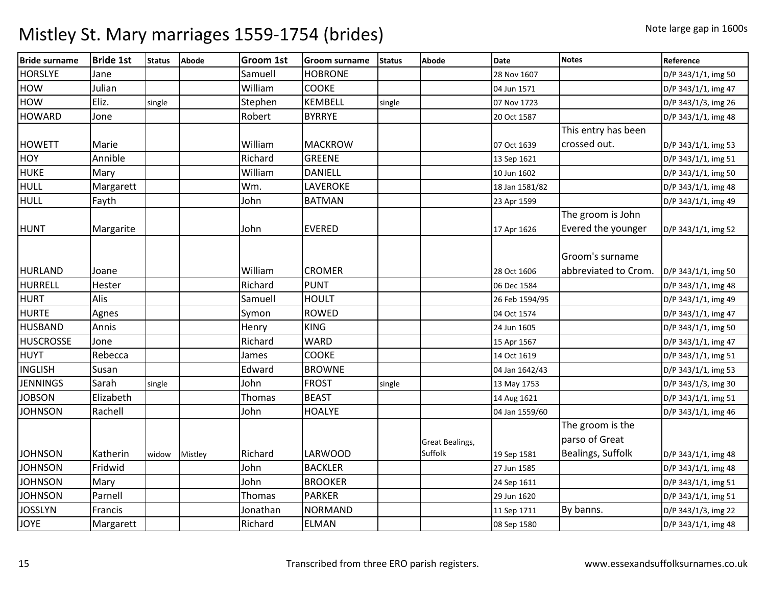| <b>Bride surname</b> | <b>Bride 1st</b> | <b>Status</b> | <b>Abode</b> | <b>Groom 1st</b> | <b>Groom surname</b> | <b>Status</b> | <b>Abode</b>           | <b>Date</b>    | <b>Notes</b>         | Reference           |
|----------------------|------------------|---------------|--------------|------------------|----------------------|---------------|------------------------|----------------|----------------------|---------------------|
| <b>HORSLYE</b>       | Jane             |               |              | Samuell          | <b>HOBRONE</b>       |               |                        | 28 Nov 1607    |                      | D/P 343/1/1, img 50 |
| <b>HOW</b>           | Julian           |               |              | William          | <b>COOKE</b>         |               |                        | 04 Jun 1571    |                      | D/P 343/1/1, img 47 |
| <b>HOW</b>           | Eliz.            | single        |              | Stephen          | <b>KEMBELL</b>       | single        |                        | 07 Nov 1723    |                      | D/P 343/1/3, img 26 |
| <b>HOWARD</b>        | Jone             |               |              | Robert           | <b>BYRRYE</b>        |               |                        | 20 Oct 1587    |                      | D/P 343/1/1, img 48 |
|                      |                  |               |              |                  |                      |               |                        |                | This entry has been  |                     |
| <b>HOWETT</b>        | Marie            |               |              | William          | <b>MACKROW</b>       |               |                        | 07 Oct 1639    | crossed out.         | D/P 343/1/1, img 53 |
| <b>HOY</b>           | Annible          |               |              | Richard          | <b>GREENE</b>        |               |                        | 13 Sep 1621    |                      | D/P 343/1/1, img 51 |
| <b>HUKE</b>          | Mary             |               |              | William          | <b>DANIELL</b>       |               |                        | 10 Jun 1602    |                      | D/P 343/1/1, img 50 |
| <b>HULL</b>          | Margarett        |               |              | Wm.              | LAVEROKE             |               |                        | 18 Jan 1581/82 |                      | D/P 343/1/1, img 48 |
| <b>HULL</b>          | Fayth            |               |              | John             | <b>BATMAN</b>        |               |                        | 23 Apr 1599    |                      | D/P 343/1/1, img 49 |
|                      |                  |               |              |                  |                      |               |                        |                | The groom is John    |                     |
| <b>HUNT</b>          | Margarite        |               |              | John             | <b>EVERED</b>        |               |                        | 17 Apr 1626    | Evered the younger   | D/P 343/1/1, img 52 |
|                      |                  |               |              |                  |                      |               |                        |                |                      |                     |
|                      |                  |               |              |                  |                      |               |                        |                | Groom's surname      |                     |
| <b>HURLAND</b>       | Joane            |               |              | William          | <b>CROMER</b>        |               |                        | 28 Oct 1606    | abbreviated to Crom. | D/P 343/1/1, img 50 |
| <b>HURRELL</b>       | Hester           |               |              | Richard          | <b>PUNT</b>          |               |                        | 06 Dec 1584    |                      | D/P 343/1/1, img 48 |
| <b>HURT</b>          | Alis             |               |              | Samuell          | <b>HOULT</b>         |               |                        | 26 Feb 1594/95 |                      | D/P 343/1/1, img 49 |
| <b>HURTE</b>         | Agnes            |               |              | Symon            | <b>ROWED</b>         |               |                        | 04 Oct 1574    |                      | D/P 343/1/1, img 47 |
| <b>HUSBAND</b>       | Annis            |               |              | Henry            | <b>KING</b>          |               |                        | 24 Jun 1605    |                      | D/P 343/1/1, img 50 |
| <b>HUSCROSSE</b>     | Jone             |               |              | Richard          | <b>WARD</b>          |               |                        | 15 Apr 1567    |                      | D/P 343/1/1, img 47 |
| HUYT                 | Rebecca          |               |              | James            | COOKE                |               |                        | 14 Oct 1619    |                      | D/P 343/1/1, img 51 |
| <b>INGLISH</b>       | Susan            |               |              | Edward           | <b>BROWNE</b>        |               |                        | 04 Jan 1642/43 |                      | D/P 343/1/1, img 53 |
| <b>JENNINGS</b>      | Sarah            | single        |              | John             | <b>FROST</b>         | single        |                        | 13 May 1753    |                      | D/P 343/1/3, img 30 |
| <b>JOBSON</b>        | Elizabeth        |               |              | <b>Thomas</b>    | <b>BEAST</b>         |               |                        | 14 Aug 1621    |                      | D/P 343/1/1, img 51 |
| <b>JOHNSON</b>       | Rachell          |               |              | John             | <b>HOALYE</b>        |               |                        | 04 Jan 1559/60 |                      | D/P 343/1/1, img 46 |
|                      |                  |               |              |                  |                      |               |                        |                | The groom is the     |                     |
|                      |                  |               |              |                  |                      |               | <b>Great Bealings,</b> |                | parso of Great       |                     |
| <b>JOHNSON</b>       | Katherin         | widow         | Mistley      | Richard          | LARWOOD              |               | Suffolk                | 19 Sep 1581    | Bealings, Suffolk    | D/P 343/1/1, img 48 |
| <b>JOHNSON</b>       | Fridwid          |               |              | John             | <b>BACKLER</b>       |               |                        | 27 Jun 1585    |                      | D/P 343/1/1, img 48 |
| <b>JOHNSON</b>       | Mary             |               |              | John             | <b>BROOKER</b>       |               |                        | 24 Sep 1611    |                      | D/P 343/1/1, img 51 |
| <b>JOHNSON</b>       | Parnell          |               |              | <b>Thomas</b>    | <b>PARKER</b>        |               |                        | 29 Jun 1620    |                      | D/P 343/1/1, img 51 |
| <b>JOSSLYN</b>       | Francis          |               |              | Jonathan         | <b>NORMAND</b>       |               |                        | 11 Sep 1711    | By banns.            | D/P 343/1/3, img 22 |
| <b>JOYE</b>          | Margarett        |               |              | Richard          | <b>ELMAN</b>         |               |                        | 08 Sep 1580    |                      | D/P 343/1/1, img 48 |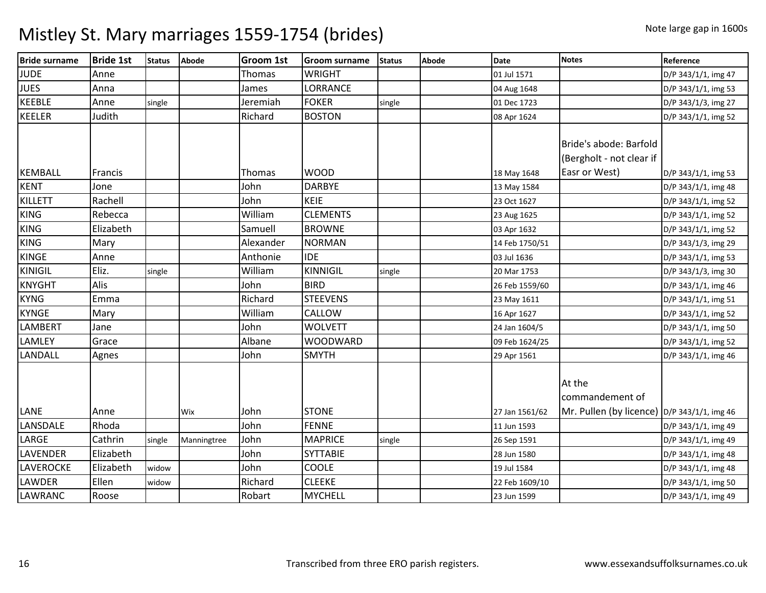| <b>Bride surname</b> | <b>Bride 1st</b> | <b>Status</b> | <b>Abode</b> | <b>Groom 1st</b> | <b>Groom surname</b> | <b>Status</b> | Abode | <b>Date</b>    | <b>Notes</b>                                                        | Reference           |
|----------------------|------------------|---------------|--------------|------------------|----------------------|---------------|-------|----------------|---------------------------------------------------------------------|---------------------|
| <b>JUDE</b>          | Anne             |               |              | Thomas           | <b>WRIGHT</b>        |               |       | 01 Jul 1571    |                                                                     | D/P 343/1/1, img 47 |
| <b>JUES</b>          | Anna             |               |              | James            | LORRANCE             |               |       | 04 Aug 1648    |                                                                     | D/P 343/1/1, img 53 |
| <b>KEEBLE</b>        | Anne             | single        |              | Jeremiah         | <b>FOKER</b>         | single        |       | 01 Dec 1723    |                                                                     | D/P 343/1/3, img 27 |
| <b>KEELER</b>        | Judith           |               |              | Richard          | <b>BOSTON</b>        |               |       | 08 Apr 1624    |                                                                     | D/P 343/1/1, img 52 |
| <b>KEMBALL</b>       | Francis          |               |              | Thomas           | <b>WOOD</b>          |               |       | 18 May 1648    | Bride's abode: Barfold<br>(Bergholt - not clear if<br>Easr or West) | D/P 343/1/1, img 53 |
| <b>KENT</b>          | Jone             |               |              | John             | <b>DARBYE</b>        |               |       | 13 May 1584    |                                                                     | D/P 343/1/1, img 48 |
| <b>KILLETT</b>       | Rachell          |               |              | John             | KEIE                 |               |       | 23 Oct 1627    |                                                                     | D/P 343/1/1, img 52 |
| <b>KING</b>          | Rebecca          |               |              | William          | <b>CLEMENTS</b>      |               |       | 23 Aug 1625    |                                                                     | D/P 343/1/1, img 52 |
| <b>KING</b>          | Elizabeth        |               |              | Samuell          | <b>BROWNE</b>        |               |       | 03 Apr 1632    |                                                                     | D/P 343/1/1, img 52 |
| <b>KING</b>          | Mary             |               |              | Alexander        | <b>NORMAN</b>        |               |       | 14 Feb 1750/51 |                                                                     | D/P 343/1/3, img 29 |
| <b>KINGE</b>         | Anne             |               |              | Anthonie         | <b>IDE</b>           |               |       | 03 Jul 1636    |                                                                     | D/P 343/1/1, img 53 |
| <b>KINIGIL</b>       | Eliz.            | single        |              | William          | <b>KINNIGIL</b>      | single        |       | 20 Mar 1753    |                                                                     | D/P 343/1/3, img 30 |
| <b>KNYGHT</b>        | Alis             |               |              | John             | <b>BIRD</b>          |               |       | 26 Feb 1559/60 |                                                                     | D/P 343/1/1, img 46 |
| <b>KYNG</b>          | Emma             |               |              | Richard          | <b>STEEVENS</b>      |               |       | 23 May 1611    |                                                                     | D/P 343/1/1, img 51 |
| <b>KYNGE</b>         | Mary             |               |              | William          | CALLOW               |               |       | 16 Apr 1627    |                                                                     | D/P 343/1/1, img 52 |
| <b>LAMBERT</b>       | Jane             |               |              | John             | <b>WOLVETT</b>       |               |       | 24 Jan 1604/5  |                                                                     | D/P 343/1/1, img 50 |
| LAMLEY               | Grace            |               |              | Albane           | <b>WOODWARD</b>      |               |       | 09 Feb 1624/25 |                                                                     | D/P 343/1/1, img 52 |
| <b>LANDALL</b>       | Agnes            |               |              | John             | <b>SMYTH</b>         |               |       | 29 Apr 1561    |                                                                     | D/P 343/1/1, img 46 |
|                      |                  |               |              |                  |                      |               |       |                | At the<br>commandement of                                           |                     |
| LANE                 | Anne             |               | Wix          | John             | <b>STONE</b>         |               |       | 27 Jan 1561/62 | Mr. Pullen (by licence) $\vert$ D/P 343/1/1, img 46                 |                     |
| LANSDALE             | Rhoda            |               |              | John             | <b>FENNE</b>         |               |       | 11 Jun 1593    |                                                                     | D/P 343/1/1, img 49 |
| LARGE                | Cathrin          | single        | Manningtree  | John             | <b>MAPRICE</b>       | single        |       | 26 Sep 1591    |                                                                     | D/P 343/1/1, img 49 |
| <b>LAVENDER</b>      | Elizabeth        |               |              | John             | <b>SYTTABIE</b>      |               |       | 28 Jun 1580    |                                                                     | D/P 343/1/1, img 48 |
| <b>LAVEROCKE</b>     | Elizabeth        | widow         |              | John             | <b>COOLE</b>         |               |       | 19 Jul 1584    |                                                                     | D/P 343/1/1, img 48 |
| <b>LAWDER</b>        | Ellen            | widow         |              | Richard          | <b>CLEEKE</b>        |               |       | 22 Feb 1609/10 |                                                                     | D/P 343/1/1, img 50 |
| <b>LAWRANC</b>       | Roose            |               |              | Robart           | <b>MYCHELL</b>       |               |       | 23 Jun 1599    |                                                                     | D/P 343/1/1, img 49 |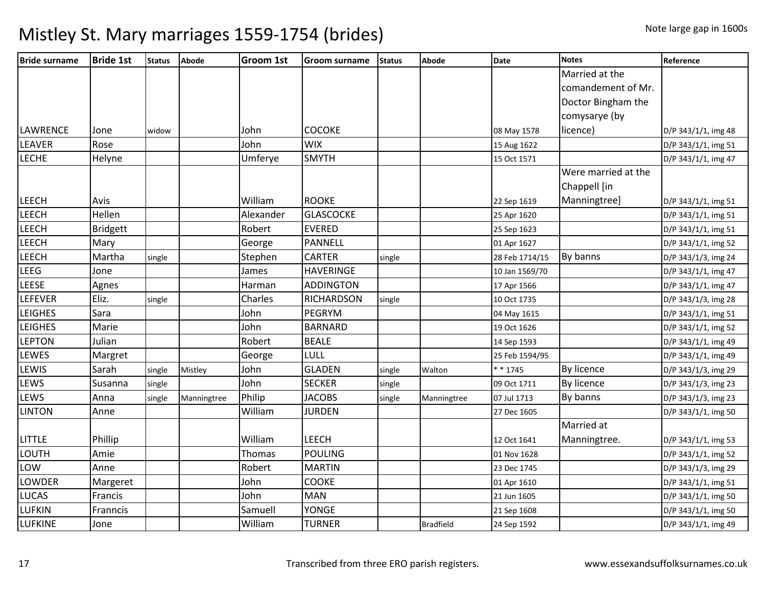| <b>Bride surname</b> | <b>Bride 1st</b> | <b>Status</b> | <b>Abode</b> | <b>Groom 1st</b> | <b>Groom surname</b> | <b>Status</b> | Abode            | <b>Date</b>    | <b>Notes</b>        | Reference           |
|----------------------|------------------|---------------|--------------|------------------|----------------------|---------------|------------------|----------------|---------------------|---------------------|
|                      |                  |               |              |                  |                      |               |                  |                | Married at the      |                     |
|                      |                  |               |              |                  |                      |               |                  |                | comandement of Mr.  |                     |
|                      |                  |               |              |                  |                      |               |                  |                | Doctor Bingham the  |                     |
|                      |                  |               |              |                  |                      |               |                  |                | comysarye (by       |                     |
| LAWRENCE             | Jone             | widow         |              | John             | <b>COCOKE</b>        |               |                  | 08 May 1578    | licence)            | D/P 343/1/1, img 48 |
| <b>LEAVER</b>        | Rose             |               |              | John             | <b>WIX</b>           |               |                  | 15 Aug 1622    |                     | D/P 343/1/1, img 51 |
| <b>LECHE</b>         | Helyne           |               |              | Umferye          | <b>SMYTH</b>         |               |                  | 15 Oct 1571    |                     | D/P 343/1/1, img 47 |
|                      |                  |               |              |                  |                      |               |                  |                | Were married at the |                     |
|                      |                  |               |              |                  |                      |               |                  |                | Chappell [in        |                     |
| <b>LEECH</b>         | Avis             |               |              | William          | <b>ROOKE</b>         |               |                  | 22 Sep 1619    | Manningtree]        | D/P 343/1/1, img 51 |
| LEECH                | Hellen           |               |              | Alexander        | <b>GLASCOCKE</b>     |               |                  | 25 Apr 1620    |                     | D/P 343/1/1, img 51 |
| <b>LEECH</b>         | <b>Bridgett</b>  |               |              | Robert           | <b>EVERED</b>        |               |                  | 25 Sep 1623    |                     | D/P 343/1/1, img 51 |
| LEECH                | Mary             |               |              | George           | <b>PANNELL</b>       |               |                  | 01 Apr 1627    |                     | D/P 343/1/1, img 52 |
| <b>LEECH</b>         | Martha           | single        |              | Stephen          | <b>CARTER</b>        | single        |                  | 28 Feb 1714/15 | By banns            | D/P 343/1/3, img 24 |
| LEEG                 | Jone             |               |              | James            | <b>HAVERINGE</b>     |               |                  | 10 Jan 1569/70 |                     | D/P 343/1/1, img 47 |
| LEESE                | Agnes            |               |              | Harman           | <b>ADDINGTON</b>     |               |                  | 17 Apr 1566    |                     | D/P 343/1/1, img 47 |
| LEFEVER              | Eliz.            | single        |              | Charles          | <b>RICHARDSON</b>    | single        |                  | 10 Oct 1735    |                     | D/P 343/1/3, img 28 |
| <b>LEIGHES</b>       | Sara             |               |              | John             | <b>PEGRYM</b>        |               |                  | 04 May 1615    |                     | D/P 343/1/1, img 51 |
| <b>LEIGHES</b>       | Marie            |               |              | John             | <b>BARNARD</b>       |               |                  | 19 Oct 1626    |                     | D/P 343/1/1, img 52 |
| <b>LEPTON</b>        | Julian           |               |              | Robert           | <b>BEALE</b>         |               |                  | 14 Sep 1593    |                     | D/P 343/1/1, img 49 |
| <b>LEWES</b>         | Margret          |               |              | George           | LULL                 |               |                  | 25 Feb 1594/95 |                     | D/P 343/1/1, img 49 |
| LEWIS                | Sarah            | single        | Mistley      | John             | <b>GLADEN</b>        | single        | Walton           | * * 1745       | <b>By licence</b>   | D/P 343/1/3, img 29 |
| LEWS                 | Susanna          | single        |              | John             | <b>SECKER</b>        | single        |                  | 09 Oct 1711    | By licence          | D/P 343/1/3, img 23 |
| LEWS                 | Anna             | single        | Manningtree  | Philip           | <b>JACOBS</b>        | single        | Manningtree      | 07 Jul 1713    | By banns            | D/P 343/1/3, img 23 |
| <b>LINTON</b>        | Anne             |               |              | William          | <b>JURDEN</b>        |               |                  | 27 Dec 1605    |                     | D/P 343/1/1, img 50 |
|                      |                  |               |              |                  |                      |               |                  |                | Married at          |                     |
| <b>LITTLE</b>        | Phillip          |               |              | William          | <b>LEECH</b>         |               |                  | 12 Oct 1641    | Manningtree.        | D/P 343/1/1, img 53 |
| <b>LOUTH</b>         | Amie             |               |              | Thomas           | <b>POULING</b>       |               |                  | 01 Nov 1628    |                     | D/P 343/1/1, img 52 |
| LOW                  | Anne             |               |              | Robert           | <b>MARTIN</b>        |               |                  | 23 Dec 1745    |                     | D/P 343/1/3, img 29 |
| <b>LOWDER</b>        | Margeret         |               |              | John             | <b>COOKE</b>         |               |                  | 01 Apr 1610    |                     | D/P 343/1/1, img 51 |
| <b>LUCAS</b>         | Francis          |               |              | John             | <b>MAN</b>           |               |                  | 21 Jun 1605    |                     | D/P 343/1/1, img 50 |
| <b>LUFKIN</b>        | Franncis         |               |              | Samuell          | <b>YONGE</b>         |               |                  | 21 Sep 1608    |                     | D/P 343/1/1, img 50 |
| <b>LUFKINE</b>       | Jone             |               |              | William          | <b>TURNER</b>        |               | <b>Bradfield</b> | 24 Sep 1592    |                     | D/P 343/1/1, img 49 |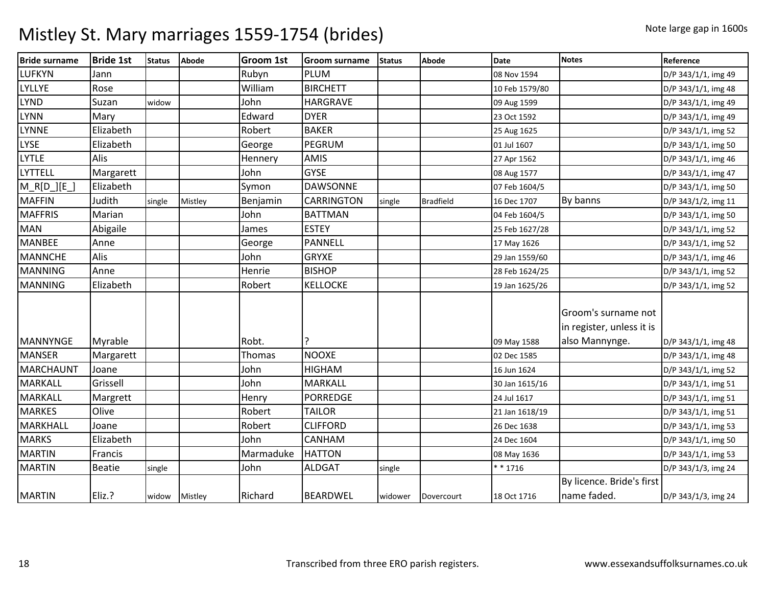| <b>Bride surname</b> | <b>Bride 1st</b> | <b>Status</b> | <b>Abode</b> | <b>Groom 1st</b> | <b>Groom surname</b> | <b>Status</b> | <b>Abode</b>     | <b>Date</b>    | <b>Notes</b>                                                       | Reference           |
|----------------------|------------------|---------------|--------------|------------------|----------------------|---------------|------------------|----------------|--------------------------------------------------------------------|---------------------|
| LUFKYN               | Jann             |               |              | Rubyn            | PLUM                 |               |                  | 08 Nov 1594    |                                                                    | D/P 343/1/1, img 49 |
| LYLLYE               | Rose             |               |              | William          | <b>BIRCHETT</b>      |               |                  | 10 Feb 1579/80 |                                                                    | D/P 343/1/1, img 48 |
| <b>LYND</b>          | Suzan            | widow         |              | John             | <b>HARGRAVE</b>      |               |                  | 09 Aug 1599    |                                                                    | D/P 343/1/1, img 49 |
| LYNN                 | Mary             |               |              | Edward           | <b>DYER</b>          |               |                  | 23 Oct 1592    |                                                                    | D/P 343/1/1, img 49 |
| <b>LYNNE</b>         | Elizabeth        |               |              | Robert           | <b>BAKER</b>         |               |                  | 25 Aug 1625    |                                                                    | D/P 343/1/1, img 52 |
| <b>LYSE</b>          | Elizabeth        |               |              | George           | PEGRUM               |               |                  | 01 Jul 1607    |                                                                    | D/P 343/1/1, img 50 |
| <b>LYTLE</b>         | Alis             |               |              | Hennery          | <b>AMIS</b>          |               |                  | 27 Apr 1562    |                                                                    | D/P 343/1/1, img 46 |
| LYTTELL              | Margarett        |               |              | John             | <b>GYSE</b>          |               |                  | 08 Aug 1577    |                                                                    | D/P 343/1/1, img 47 |
| $M_R[D_T][E_T]$      | Elizabeth        |               |              | Symon            | <b>DAWSONNE</b>      |               |                  | 07 Feb 1604/5  |                                                                    | D/P 343/1/1, img 50 |
| <b>MAFFIN</b>        | Judith           | single        | Mistley      | Benjamin         | <b>CARRINGTON</b>    | single        | <b>Bradfield</b> | 16 Dec 1707    | By banns                                                           | D/P 343/1/2, img 11 |
| <b>MAFFRIS</b>       | Marian           |               |              | John             | <b>BATTMAN</b>       |               |                  | 04 Feb 1604/5  |                                                                    | D/P 343/1/1, img 50 |
| <b>MAN</b>           | Abigaile         |               |              | James            | <b>ESTEY</b>         |               |                  | 25 Feb 1627/28 |                                                                    | D/P 343/1/1, img 52 |
| <b>MANBEE</b>        | Anne             |               |              | George           | <b>PANNELL</b>       |               |                  | 17 May 1626    |                                                                    | D/P 343/1/1, img 52 |
| <b>MANNCHE</b>       | Alis             |               |              | John             | <b>GRYXE</b>         |               |                  | 29 Jan 1559/60 |                                                                    | D/P 343/1/1, img 46 |
| <b>MANNING</b>       | Anne             |               |              | Henrie           | <b>BISHOP</b>        |               |                  | 28 Feb 1624/25 |                                                                    | D/P 343/1/1, img 52 |
| <b>MANNING</b>       | Elizabeth        |               |              | Robert           | <b>KELLOCKE</b>      |               |                  | 19 Jan 1625/26 |                                                                    | D/P 343/1/1, img 52 |
| <b>MANNYNGE</b>      | Myrable          |               |              | Robt.            |                      |               |                  | 09 May 1588    | Groom's surname not<br>in register, unless it is<br>also Mannynge. | D/P 343/1/1, img 48 |
| <b>MANSER</b>        | Margarett        |               |              | Thomas           | <b>NOOXE</b>         |               |                  | 02 Dec 1585    |                                                                    | D/P 343/1/1, img 48 |
| <b>MARCHAUNT</b>     | Joane            |               |              | John             | <b>HIGHAM</b>        |               |                  | 16 Jun 1624    |                                                                    | D/P 343/1/1, img 52 |
| <b>MARKALL</b>       | Grissell         |               |              | John             | <b>MARKALL</b>       |               |                  | 30 Jan 1615/16 |                                                                    | D/P 343/1/1, img 51 |
| <b>MARKALL</b>       | Margrett         |               |              | Henry            | <b>PORREDGE</b>      |               |                  | 24 Jul 1617    |                                                                    | D/P 343/1/1, img 51 |
| <b>MARKES</b>        | Olive            |               |              | Robert           | <b>TAILOR</b>        |               |                  | 21 Jan 1618/19 |                                                                    | D/P 343/1/1, img 51 |
| MARKHALL             | Joane            |               |              | Robert           | <b>CLIFFORD</b>      |               |                  | 26 Dec 1638    |                                                                    | D/P 343/1/1, img 53 |
| <b>MARKS</b>         | Elizabeth        |               |              | John             | CANHAM               |               |                  | 24 Dec 1604    |                                                                    | D/P 343/1/1, img 50 |
| <b>MARTIN</b>        | Francis          |               |              | Marmaduke        | <b>HATTON</b>        |               |                  | 08 May 1636    |                                                                    | D/P 343/1/1, img 53 |
| <b>MARTIN</b>        | <b>Beatie</b>    | single        |              | John             | <b>ALDGAT</b>        | single        |                  | $* * 1716$     |                                                                    | D/P 343/1/3, img 24 |
| <b>MARTIN</b>        | Eliz.?           | widow         | Mistley      | Richard          | <b>BEARDWEL</b>      | widower       | Dovercourt       | 18 Oct 1716    | By licence. Bride's first<br>name faded.                           | D/P 343/1/3, img 24 |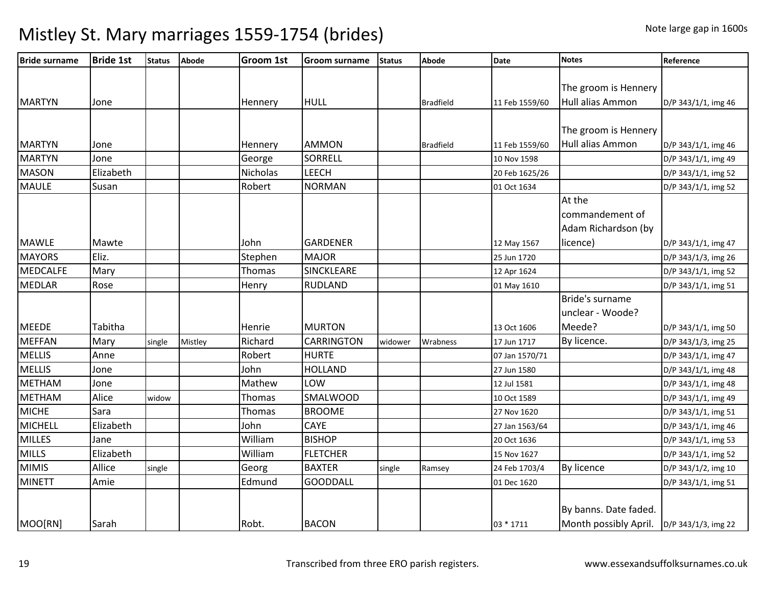| <b>Bride surname</b> | <b>Bride 1st</b> | <b>Status</b> | <b>Abode</b> | <b>Groom 1st</b> | <b>Groom surname</b> | <b>Status</b> | <b>Abode</b>     | <b>Date</b>    | <b>Notes</b>                                | Reference           |
|----------------------|------------------|---------------|--------------|------------------|----------------------|---------------|------------------|----------------|---------------------------------------------|---------------------|
|                      |                  |               |              |                  |                      |               |                  |                |                                             |                     |
|                      |                  |               |              |                  |                      |               |                  |                | The groom is Hennery                        |                     |
| <b>MARTYN</b>        | Jone             |               |              | Hennery          | <b>HULL</b>          |               | <b>Bradfield</b> | 11 Feb 1559/60 | Hull alias Ammon                            | D/P 343/1/1, img 46 |
|                      |                  |               |              |                  |                      |               |                  |                |                                             |                     |
|                      |                  |               |              |                  |                      |               |                  |                | The groom is Hennery                        |                     |
| <b>MARTYN</b>        | Jone             |               |              | Hennery          | <b>AMMON</b>         |               | <b>Bradfield</b> | 11 Feb 1559/60 | Hull alias Ammon                            | D/P 343/1/1, img 46 |
| <b>MARTYN</b>        | Jone             |               |              | George           | <b>SORRELL</b>       |               |                  | 10 Nov 1598    |                                             | D/P 343/1/1, img 49 |
| <b>MASON</b>         | Elizabeth        |               |              | Nicholas         | LEECH                |               |                  | 20 Feb 1625/26 |                                             | D/P 343/1/1, img 52 |
| <b>MAULE</b>         | Susan            |               |              | Robert           | <b>NORMAN</b>        |               |                  | 01 Oct 1634    |                                             | D/P 343/1/1, img 52 |
|                      |                  |               |              |                  |                      |               |                  |                | At the                                      |                     |
|                      |                  |               |              |                  |                      |               |                  |                | commandement of                             |                     |
|                      |                  |               |              |                  |                      |               |                  |                | Adam Richardson (by                         |                     |
| <b>MAWLE</b>         | Mawte            |               |              | John             | <b>GARDENER</b>      |               |                  | 12 May 1567    | licence)                                    | D/P 343/1/1, img 47 |
| <b>MAYORS</b>        | Eliz.            |               |              | Stephen          | <b>MAJOR</b>         |               |                  | 25 Jun 1720    |                                             | D/P 343/1/3, img 26 |
| <b>MEDCALFE</b>      | Mary             |               |              | Thomas           | <b>SINCKLEARE</b>    |               |                  | 12 Apr 1624    |                                             | D/P 343/1/1, img 52 |
| <b>MEDLAR</b>        | Rose             |               |              | Henry            | <b>RUDLAND</b>       |               |                  | 01 May 1610    |                                             | D/P 343/1/1, img 51 |
|                      |                  |               |              |                  |                      |               |                  |                | Bride's surname                             |                     |
|                      |                  |               |              |                  |                      |               |                  |                | unclear - Woode?                            |                     |
| <b>MEEDE</b>         | Tabitha          |               |              | Henrie           | <b>MURTON</b>        |               |                  | 13 Oct 1606    | Meede?                                      | D/P 343/1/1, img 50 |
| <b>MEFFAN</b>        | Mary             | single        | Mistley      | Richard          | <b>CARRINGTON</b>    | widower       | Wrabness         | 17 Jun 1717    | By licence.                                 | D/P 343/1/3, img 25 |
| <b>MELLIS</b>        | Anne             |               |              | Robert           | <b>HURTE</b>         |               |                  | 07 Jan 1570/71 |                                             | D/P 343/1/1, img 47 |
| <b>MELLIS</b>        | Jone             |               |              | John             | <b>HOLLAND</b>       |               |                  | 27 Jun 1580    |                                             | D/P 343/1/1, img 48 |
| <b>METHAM</b>        | Jone             |               |              | Mathew           | LOW                  |               |                  | 12 Jul 1581    |                                             | D/P 343/1/1, img 48 |
| <b>METHAM</b>        | Alice            | widow         |              | Thomas           | <b>SMALWOOD</b>      |               |                  | 10 Oct 1589    |                                             | D/P 343/1/1, img 49 |
| <b>MICHE</b>         | Sara             |               |              | Thomas           | <b>BROOME</b>        |               |                  | 27 Nov 1620    |                                             | D/P 343/1/1, img 51 |
| <b>MICHELL</b>       | Elizabeth        |               |              | John             | CAYE                 |               |                  | 27 Jan 1563/64 |                                             | D/P 343/1/1, img 46 |
| <b>MILLES</b>        | Jane             |               |              | William          | <b>BISHOP</b>        |               |                  | 20 Oct 1636    |                                             | D/P 343/1/1, img 53 |
| <b>MILLS</b>         | Elizabeth        |               |              | William          | <b>FLETCHER</b>      |               |                  | 15 Nov 1627    |                                             | D/P 343/1/1, img 52 |
| <b>MIMIS</b>         | Allice           | single        |              | Georg            | <b>BAXTER</b>        | single        | Ramsey           | 24 Feb 1703/4  | <b>By licence</b>                           | D/P 343/1/2, img 10 |
| <b>MINETT</b>        | Amie             |               |              | Edmund           | <b>GOODDALL</b>      |               |                  | 01 Dec 1620    |                                             | D/P 343/1/1, img 51 |
|                      |                  |               |              |                  |                      |               |                  |                |                                             |                     |
|                      |                  |               |              |                  |                      |               |                  |                | By banns. Date faded.                       |                     |
| MOO[RN]              | Sarah            |               |              | Robt.            | <b>BACON</b>         |               |                  | 03 * 1711      | Month possibly April.   D/P 343/1/3, img 22 |                     |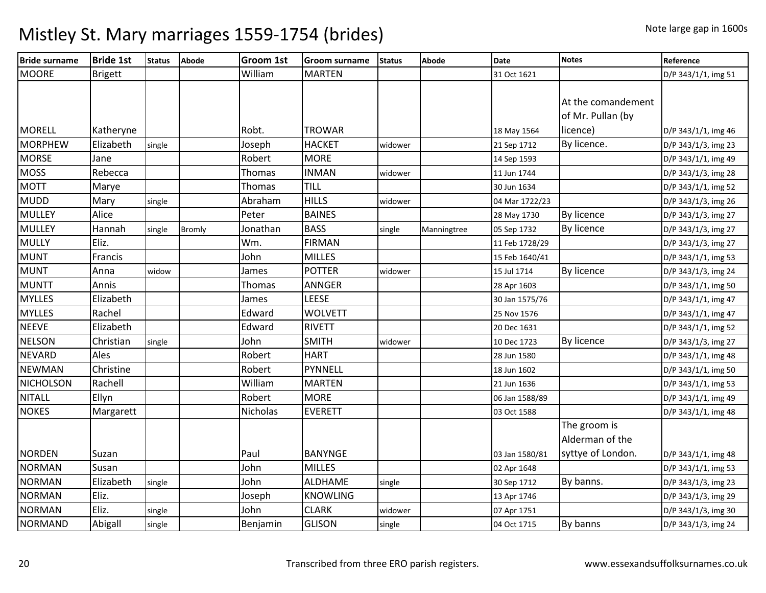| <b>Bride surname</b> | <b>Bride 1st</b> | <b>Status</b> | <b>Abode</b> | Groom 1st       | <b>Groom surname</b> | <b>Status</b> | Abode       | <b>Date</b>    | <b>Notes</b>       | Reference           |
|----------------------|------------------|---------------|--------------|-----------------|----------------------|---------------|-------------|----------------|--------------------|---------------------|
| <b>MOORE</b>         | <b>Brigett</b>   |               |              | William         | <b>MARTEN</b>        |               |             | 31 Oct 1621    |                    | D/P 343/1/1, img 51 |
|                      |                  |               |              |                 |                      |               |             |                |                    |                     |
|                      |                  |               |              |                 |                      |               |             |                | At the comandement |                     |
|                      |                  |               |              |                 |                      |               |             |                | of Mr. Pullan (by  |                     |
| <b>MORELL</b>        | Katheryne        |               |              | Robt.           | <b>TROWAR</b>        |               |             | 18 May 1564    | licence)           | D/P 343/1/1, img 46 |
| <b>MORPHEW</b>       | Elizabeth        | single        |              | Joseph          | <b>HACKET</b>        | widower       |             | 21 Sep 1712    | By licence.        | D/P 343/1/3, img 23 |
| <b>MORSE</b>         | Jane             |               |              | Robert          | <b>MORE</b>          |               |             | 14 Sep 1593    |                    | D/P 343/1/1, img 49 |
| <b>MOSS</b>          | Rebecca          |               |              | Thomas          | <b>INMAN</b>         | widower       |             | 11 Jun 1744    |                    | D/P 343/1/3, img 28 |
| <b>MOTT</b>          | Marye            |               |              | <b>Thomas</b>   | <b>TILL</b>          |               |             | 30 Jun 1634    |                    | D/P 343/1/1, img 52 |
| <b>MUDD</b>          | Mary             | single        |              | Abraham         | <b>HILLS</b>         | widower       |             | 04 Mar 1722/23 |                    | D/P 343/1/3, img 26 |
| <b>MULLEY</b>        | Alice            |               |              | Peter           | <b>BAINES</b>        |               |             | 28 May 1730    | <b>By licence</b>  | D/P 343/1/3, img 27 |
| <b>MULLEY</b>        | Hannah           | single        | Bromly       | Jonathan        | <b>BASS</b>          | single        | Manningtree | 05 Sep 1732    | By licence         | D/P 343/1/3, img 27 |
| <b>MULLY</b>         | Eliz.            |               |              | Wm.             | <b>FIRMAN</b>        |               |             | 11 Feb 1728/29 |                    | D/P 343/1/3, img 27 |
| <b>MUNT</b>          | Francis          |               |              | John            | <b>MILLES</b>        |               |             | 15 Feb 1640/41 |                    | D/P 343/1/1, img 53 |
| <b>MUNT</b>          | Anna             | widow         |              | James           | <b>POTTER</b>        | widower       |             | 15 Jul 1714    | By licence         | D/P 343/1/3, img 24 |
| <b>MUNTT</b>         | Annis            |               |              | Thomas          | ANNGER               |               |             | 28 Apr 1603    |                    | D/P 343/1/1, img 50 |
| <b>MYLLES</b>        | Elizabeth        |               |              | James           | LEESE                |               |             | 30 Jan 1575/76 |                    | D/P 343/1/1, img 47 |
| <b>MYLLES</b>        | Rachel           |               |              | Edward          | <b>WOLVETT</b>       |               |             | 25 Nov 1576    |                    | D/P 343/1/1, img 47 |
| <b>NEEVE</b>         | Elizabeth        |               |              | Edward          | <b>RIVETT</b>        |               |             | 20 Dec 1631    |                    | D/P 343/1/1, img 52 |
| <b>NELSON</b>        | Christian        | single        |              | John            | <b>SMITH</b>         | widower       |             | 10 Dec 1723    | <b>By licence</b>  | D/P 343/1/3, img 27 |
| <b>NEVARD</b>        | Ales             |               |              | Robert          | <b>HART</b>          |               |             | 28 Jun 1580    |                    | D/P 343/1/1, img 48 |
| <b>NEWMAN</b>        | Christine        |               |              | Robert          | PYNNELL              |               |             | 18 Jun 1602    |                    | D/P 343/1/1, img 50 |
| <b>NICHOLSON</b>     | Rachell          |               |              | William         | <b>MARTEN</b>        |               |             | 21 Jun 1636    |                    | D/P 343/1/1, img 53 |
| <b>NITALL</b>        | Ellyn            |               |              | Robert          | <b>MORE</b>          |               |             | 06 Jan 1588/89 |                    | D/P 343/1/1, img 49 |
| <b>NOKES</b>         | Margarett        |               |              | <b>Nicholas</b> | <b>EVERETT</b>       |               |             | 03 Oct 1588    |                    | D/P 343/1/1, img 48 |
|                      |                  |               |              |                 |                      |               |             |                | The groom is       |                     |
|                      |                  |               |              |                 |                      |               |             |                | Alderman of the    |                     |
| <b>NORDEN</b>        | Suzan            |               |              | Paul            | <b>BANYNGE</b>       |               |             | 03 Jan 1580/81 | syttye of London.  | D/P 343/1/1, img 48 |
| <b>NORMAN</b>        | Susan            |               |              | John            | <b>MILLES</b>        |               |             | 02 Apr 1648    |                    | D/P 343/1/1, img 53 |
| <b>NORMAN</b>        | Elizabeth        | single        |              | John            | <b>ALDHAME</b>       | single        |             | 30 Sep 1712    | By banns.          | D/P 343/1/3, img 23 |
| <b>NORMAN</b>        | Eliz.            |               |              | Joseph          | <b>KNOWLING</b>      |               |             | 13 Apr 1746    |                    | D/P 343/1/3, img 29 |
| <b>NORMAN</b>        | Eliz.            | single        |              | John            | <b>CLARK</b>         | widower       |             | 07 Apr 1751    |                    | D/P 343/1/3, img 30 |
| <b>NORMAND</b>       | Abigall          | single        |              | Benjamin        | <b>GLISON</b>        | single        |             | 04 Oct 1715    | By banns           | D/P 343/1/3, img 24 |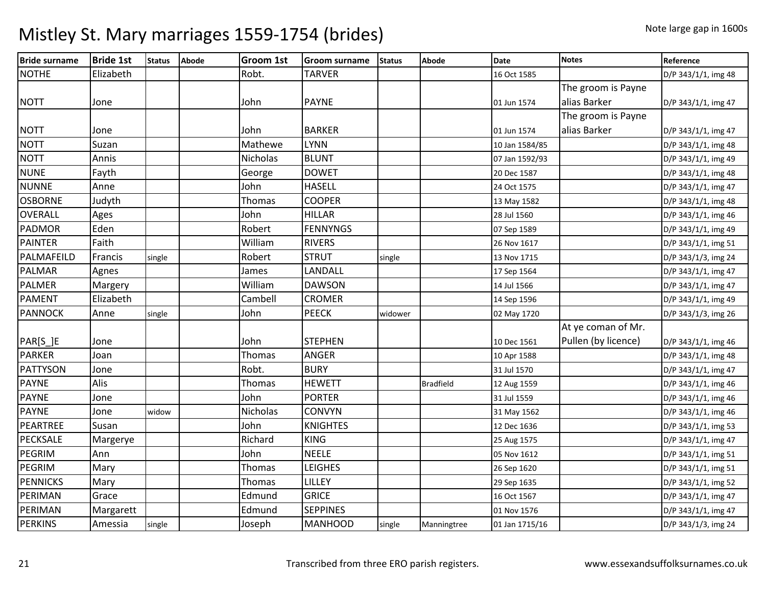| <b>Bride surname</b> | <b>Bride 1st</b> | <b>Status</b> | <b>Abode</b> | <b>Groom 1st</b> | <b>Groom surname</b> | <b>Status</b> | Abode            | Date           | <b>Notes</b>        | Reference           |
|----------------------|------------------|---------------|--------------|------------------|----------------------|---------------|------------------|----------------|---------------------|---------------------|
| <b>NOTHE</b>         | Elizabeth        |               |              | Robt.            | <b>TARVER</b>        |               |                  | 16 Oct 1585    |                     | D/P 343/1/1, img 48 |
|                      |                  |               |              |                  |                      |               |                  |                | The groom is Payne  |                     |
| <b>NOTT</b>          | Jone             |               |              | John             | <b>PAYNE</b>         |               |                  | 01 Jun 1574    | alias Barker        | D/P 343/1/1, img 47 |
|                      |                  |               |              |                  |                      |               |                  |                | The groom is Payne  |                     |
| <b>NOTT</b>          | Jone             |               |              | John             | <b>BARKER</b>        |               |                  | 01 Jun 1574    | alias Barker        | D/P 343/1/1, img 47 |
| <b>NOTT</b>          | Suzan            |               |              | Mathewe          | <b>LYNN</b>          |               |                  | 10 Jan 1584/85 |                     | D/P 343/1/1, img 48 |
| <b>NOTT</b>          | Annis            |               |              | <b>Nicholas</b>  | <b>BLUNT</b>         |               |                  | 07 Jan 1592/93 |                     | D/P 343/1/1, img 49 |
| <b>NUNE</b>          | Fayth            |               |              | George           | <b>DOWET</b>         |               |                  | 20 Dec 1587    |                     | D/P 343/1/1, img 48 |
| <b>NUNNE</b>         | Anne             |               |              | John             | <b>HASELL</b>        |               |                  | 24 Oct 1575    |                     | D/P 343/1/1, img 47 |
| <b>OSBORNE</b>       | Judyth           |               |              | <b>Thomas</b>    | <b>COOPER</b>        |               |                  | 13 May 1582    |                     | D/P 343/1/1, img 48 |
| <b>OVERALL</b>       | Ages             |               |              | John             | <b>HILLAR</b>        |               |                  | 28 Jul 1560    |                     | D/P 343/1/1, img 46 |
| <b>PADMOR</b>        | Eden             |               |              | Robert           | <b>FENNYNGS</b>      |               |                  | 07 Sep 1589    |                     | D/P 343/1/1, img 49 |
| <b>PAINTER</b>       | Faith            |               |              | William          | <b>RIVERS</b>        |               |                  | 26 Nov 1617    |                     | D/P 343/1/1, img 51 |
| PALMAFEILD           | Francis          | single        |              | Robert           | <b>STRUT</b>         | single        |                  | 13 Nov 1715    |                     | D/P 343/1/3, img 24 |
| <b>PALMAR</b>        | Agnes            |               |              | James            | LANDALL              |               |                  | 17 Sep 1564    |                     | D/P 343/1/1, img 47 |
| <b>PALMER</b>        | Margery          |               |              | William          | <b>DAWSON</b>        |               |                  | 14 Jul 1566    |                     | D/P 343/1/1, img 47 |
| <b>PAMENT</b>        | Elizabeth        |               |              | Cambell          | <b>CROMER</b>        |               |                  | 14 Sep 1596    |                     | D/P 343/1/1, img 49 |
| <b>PANNOCK</b>       | Anne             | single        |              | John             | <b>PEECK</b>         | widower       |                  | 02 May 1720    |                     | D/P 343/1/3, img 26 |
|                      |                  |               |              |                  |                      |               |                  |                | At ye coman of Mr.  |                     |
| PAR[S_]E             | Jone             |               |              | John             | <b>STEPHEN</b>       |               |                  | 10 Dec 1561    | Pullen (by licence) | D/P 343/1/1, img 46 |
| <b>PARKER</b>        | Joan             |               |              | Thomas           | <b>ANGER</b>         |               |                  | 10 Apr 1588    |                     | D/P 343/1/1, img 48 |
| <b>PATTYSON</b>      | Jone             |               |              | Robt.            | <b>BURY</b>          |               |                  | 31 Jul 1570    |                     | D/P 343/1/1, img 47 |
| <b>PAYNE</b>         | Alis             |               |              | Thomas           | <b>HEWETT</b>        |               | <b>Bradfield</b> | 12 Aug 1559    |                     | D/P 343/1/1, img 46 |
| <b>PAYNE</b>         | Jone             |               |              | John             | <b>PORTER</b>        |               |                  | 31 Jul 1559    |                     | D/P 343/1/1, img 46 |
| <b>PAYNE</b>         | Jone             | widow         |              | Nicholas         | <b>CONVYN</b>        |               |                  | 31 May 1562    |                     | D/P 343/1/1, img 46 |
| PEARTREE             | Susan            |               |              | John             | <b>KNIGHTES</b>      |               |                  | 12 Dec 1636    |                     | D/P 343/1/1, img 53 |
| <b>PECKSALE</b>      | Margerye         |               |              | Richard          | <b>KING</b>          |               |                  | 25 Aug 1575    |                     | D/P 343/1/1, img 47 |
| <b>PEGRIM</b>        | Ann              |               |              | John             | <b>NEELE</b>         |               |                  | 05 Nov 1612    |                     | D/P 343/1/1, img 51 |
| PEGRIM               | Mary             |               |              | Thomas           | <b>LEIGHES</b>       |               |                  | 26 Sep 1620    |                     | D/P 343/1/1, img 51 |
| <b>PENNICKS</b>      | Mary             |               |              | Thomas           | LILLEY               |               |                  | 29 Sep 1635    |                     | D/P 343/1/1, img 52 |
| PERIMAN              | Grace            |               |              | Edmund           | <b>GRICE</b>         |               |                  | 16 Oct 1567    |                     | D/P 343/1/1, img 47 |
| PERIMAN              | Margarett        |               |              | Edmund           | <b>SEPPINES</b>      |               |                  | 01 Nov 1576    |                     | D/P 343/1/1, img 47 |
| <b>PERKINS</b>       | Amessia          | single        |              | Joseph           | <b>MANHOOD</b>       | single        | Manningtree      | 01 Jan 1715/16 |                     | D/P 343/1/3, img 24 |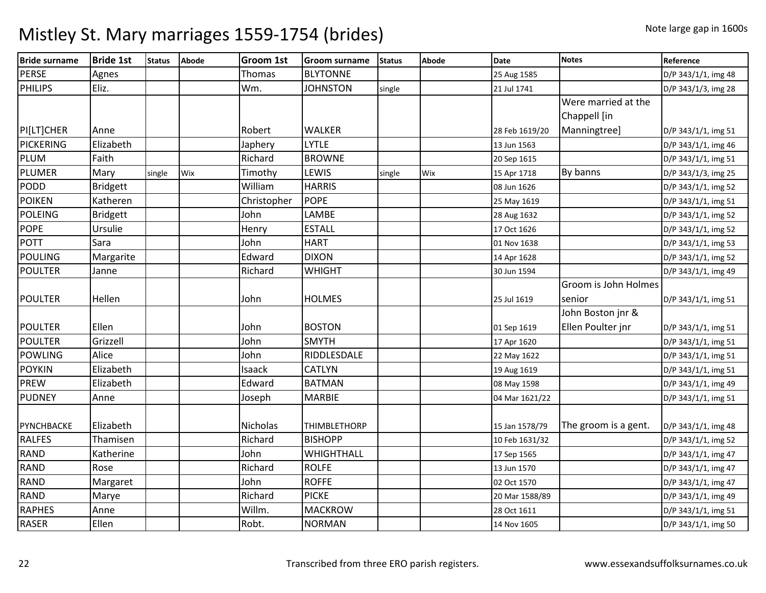| <b>Bride surname</b> | <b>Bride 1st</b> | <b>Status</b> | <b>Abode</b> | <b>Groom 1st</b> | <b>Groom surname</b> | <b>Status</b> | Abode | Date           | <b>Notes</b>         | Reference           |
|----------------------|------------------|---------------|--------------|------------------|----------------------|---------------|-------|----------------|----------------------|---------------------|
| <b>PERSE</b>         | Agnes            |               |              | <b>Thomas</b>    | <b>BLYTONNE</b>      |               |       | 25 Aug 1585    |                      | D/P 343/1/1, img 48 |
| <b>PHILIPS</b>       | Eliz.            |               |              | Wm.              | <b>JOHNSTON</b>      | single        |       | 21 Jul 1741    |                      | D/P 343/1/3, img 28 |
|                      |                  |               |              |                  |                      |               |       |                | Were married at the  |                     |
|                      |                  |               |              |                  |                      |               |       |                | Chappell [in         |                     |
| PI[LT]CHER           | Anne             |               |              | Robert           | <b>WALKER</b>        |               |       | 28 Feb 1619/20 | Manningtree]         | D/P 343/1/1, img 51 |
| PICKERING            | Elizabeth        |               |              | Japhery          | <b>LYTLE</b>         |               |       | 13 Jun 1563    |                      | D/P 343/1/1, img 46 |
| PLUM                 | Faith            |               |              | Richard          | <b>BROWNE</b>        |               |       | 20 Sep 1615    |                      | D/P 343/1/1, img 51 |
| PLUMER               | Mary             | single        | Wix          | Timothy          | LEWIS                | single        | Wix   | 15 Apr 1718    | By banns             | D/P 343/1/3, img 25 |
| <b>PODD</b>          | <b>Bridgett</b>  |               |              | William          | <b>HARRIS</b>        |               |       | 08 Jun 1626    |                      | D/P 343/1/1, img 52 |
| <b>POIKEN</b>        | Katheren         |               |              | Christopher      | <b>POPE</b>          |               |       | 25 May 1619    |                      | D/P 343/1/1, img 51 |
| <b>POLEING</b>       | <b>Bridgett</b>  |               |              | John             | LAMBE                |               |       | 28 Aug 1632    |                      | D/P 343/1/1, img 52 |
| <b>POPE</b>          | Ursulie          |               |              | Henry            | <b>ESTALL</b>        |               |       | 17 Oct 1626    |                      | D/P 343/1/1, img 52 |
| <b>POTT</b>          | Sara             |               |              | John             | <b>HART</b>          |               |       | 01 Nov 1638    |                      | D/P 343/1/1, img 53 |
| <b>POULING</b>       | Margarite        |               |              | Edward           | <b>DIXON</b>         |               |       | 14 Apr 1628    |                      | D/P 343/1/1, img 52 |
| <b>POULTER</b>       | Janne            |               |              | Richard          | <b>WHIGHT</b>        |               |       | 30 Jun 1594    |                      | D/P 343/1/1, img 49 |
|                      |                  |               |              |                  |                      |               |       |                | Groom is John Holmes |                     |
| <b>POULTER</b>       | Hellen           |               |              | John             | <b>HOLMES</b>        |               |       | 25 Jul 1619    | senior               | D/P 343/1/1, img 51 |
|                      |                  |               |              |                  |                      |               |       |                | John Boston jnr &    |                     |
| <b>POULTER</b>       | Ellen            |               |              | John             | <b>BOSTON</b>        |               |       | 01 Sep 1619    | Ellen Poulter jnr    | D/P 343/1/1, img 51 |
| <b>POULTER</b>       | Grizzell         |               |              | John             | <b>SMYTH</b>         |               |       | 17 Apr 1620    |                      | D/P 343/1/1, img 51 |
| <b>POWLING</b>       | Alice            |               |              | John             | RIDDLESDALE          |               |       | 22 May 1622    |                      | D/P 343/1/1, img 51 |
| <b>POYKIN</b>        | Elizabeth        |               |              | Isaack           | <b>CATLYN</b>        |               |       | 19 Aug 1619    |                      | D/P 343/1/1, img 51 |
| <b>PREW</b>          | Elizabeth        |               |              | Edward           | <b>BATMAN</b>        |               |       | 08 May 1598    |                      | D/P 343/1/1, img 49 |
| <b>PUDNEY</b>        | Anne             |               |              | Joseph           | <b>MARBIE</b>        |               |       | 04 Mar 1621/22 |                      | D/P 343/1/1, img 51 |
|                      |                  |               |              |                  |                      |               |       |                |                      |                     |
| PYNCHBACKE           | Elizabeth        |               |              | Nicholas         | <b>THIMBLETHORP</b>  |               |       | 15 Jan 1578/79 | The groom is a gent. | D/P 343/1/1, img 48 |
| <b>RALFES</b>        | Thamisen         |               |              | Richard          | <b>BISHOPP</b>       |               |       | 10 Feb 1631/32 |                      | D/P 343/1/1, img 52 |
| <b>RAND</b>          | Katherine        |               |              | John             | <b>WHIGHTHALL</b>    |               |       | 17 Sep 1565    |                      | D/P 343/1/1, img 47 |
| <b>RAND</b>          | Rose             |               |              | Richard          | <b>ROLFE</b>         |               |       | 13 Jun 1570    |                      | D/P 343/1/1, img 47 |
| <b>RAND</b>          | Margaret         |               |              | John             | <b>ROFFE</b>         |               |       | 02 Oct 1570    |                      | D/P 343/1/1, img 47 |
| <b>RAND</b>          | Marye            |               |              | Richard          | <b>PICKE</b>         |               |       | 20 Mar 1588/89 |                      | D/P 343/1/1, img 49 |
| <b>RAPHES</b>        | Anne             |               |              | Willm.           | <b>MACKROW</b>       |               |       | 28 Oct 1611    |                      | D/P 343/1/1, img 51 |
| <b>RASER</b>         | Ellen            |               |              | Robt.            | <b>NORMAN</b>        |               |       | 14 Nov 1605    |                      | D/P 343/1/1, img 50 |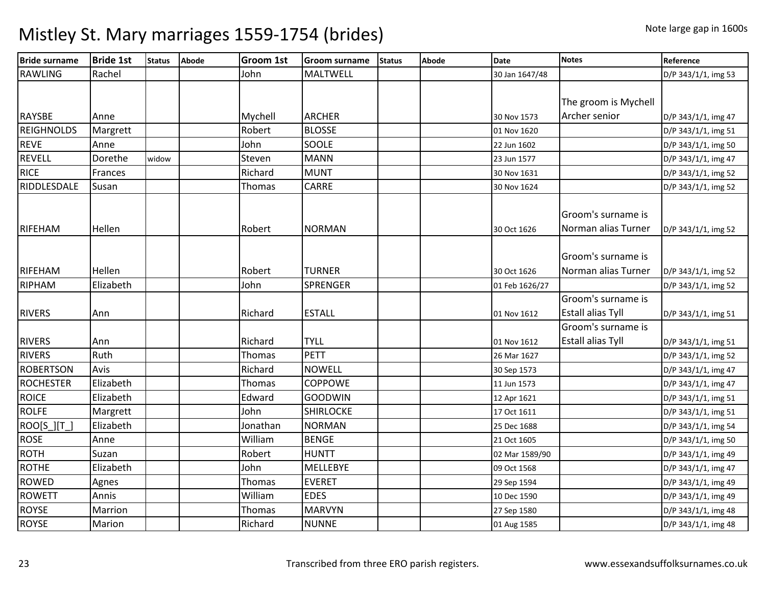| <b>Bride surname</b> | <b>Bride 1st</b> | <b>Status</b> | <b>Abode</b> | <b>Groom 1st</b> | <b>Groom surname</b> | <b>Status</b> | <b>Abode</b> | <b>Date</b>    | <b>Notes</b>             | Reference           |
|----------------------|------------------|---------------|--------------|------------------|----------------------|---------------|--------------|----------------|--------------------------|---------------------|
| <b>RAWLING</b>       | Rachel           |               |              | John             | <b>MALTWELL</b>      |               |              | 30 Jan 1647/48 |                          | D/P 343/1/1, img 53 |
|                      |                  |               |              |                  |                      |               |              |                |                          |                     |
|                      |                  |               |              |                  |                      |               |              |                | The groom is Mychell     |                     |
| <b>RAYSBE</b>        | Anne             |               |              | Mychell          | <b>ARCHER</b>        |               |              | 30 Nov 1573    | Archer senior            | D/P 343/1/1, img 47 |
| <b>REIGHNOLDS</b>    | Margrett         |               |              | Robert           | <b>BLOSSE</b>        |               |              | 01 Nov 1620    |                          | D/P 343/1/1, img 51 |
| <b>REVE</b>          | Anne             |               |              | John             | SOOLE                |               |              | 22 Jun 1602    |                          | D/P 343/1/1, img 50 |
| <b>REVELL</b>        | Dorethe          | widow         |              | Steven           | <b>MANN</b>          |               |              | 23 Jun 1577    |                          | D/P 343/1/1, img 47 |
| <b>RICE</b>          | Frances          |               |              | Richard          | <b>MUNT</b>          |               |              | 30 Nov 1631    |                          | D/P 343/1/1, img 52 |
| RIDDLESDALE          | Susan            |               |              | Thomas           | <b>CARRE</b>         |               |              | 30 Nov 1624    |                          | D/P 343/1/1, img 52 |
|                      |                  |               |              |                  |                      |               |              |                |                          |                     |
|                      |                  |               |              |                  |                      |               |              |                | Groom's surname is       |                     |
| <b>RIFEHAM</b>       | Hellen           |               |              | Robert           | <b>NORMAN</b>        |               |              | 30 Oct 1626    | Norman alias Turner      | D/P 343/1/1, img 52 |
|                      |                  |               |              |                  |                      |               |              |                |                          |                     |
|                      |                  |               |              |                  |                      |               |              |                | Groom's surname is       |                     |
| RIFEHAM              | Hellen           |               |              | Robert           | <b>TURNER</b>        |               |              | 30 Oct 1626    | Norman alias Turner      | D/P 343/1/1, img 52 |
| RIPHAM               | Elizabeth        |               |              | John             | SPRENGER             |               |              | 01 Feb 1626/27 |                          | D/P 343/1/1, img 52 |
|                      |                  |               |              |                  |                      |               |              |                | Groom's surname is       |                     |
| <b>RIVERS</b>        | Ann              |               |              | Richard          | <b>ESTALL</b>        |               |              | 01 Nov 1612    | <b>Estall alias Tyll</b> | D/P 343/1/1, img 51 |
|                      |                  |               |              |                  |                      |               |              |                | Groom's surname is       |                     |
| <b>RIVERS</b>        | Ann              |               |              | Richard          | <b>TYLL</b>          |               |              | 01 Nov 1612    | <b>Estall alias Tyll</b> | D/P 343/1/1, img 51 |
| <b>RIVERS</b>        | Ruth             |               |              | Thomas           | <b>PETT</b>          |               |              | 26 Mar 1627    |                          | D/P 343/1/1, img 52 |
| <b>ROBERTSON</b>     | Avis             |               |              | Richard          | <b>NOWELL</b>        |               |              | 30 Sep 1573    |                          | D/P 343/1/1, img 47 |
| <b>ROCHESTER</b>     | Elizabeth        |               |              | Thomas           | <b>COPPOWE</b>       |               |              | 11 Jun 1573    |                          | D/P 343/1/1, img 47 |
| <b>ROICE</b>         | Elizabeth        |               |              | Edward           | <b>GOODWIN</b>       |               |              | 12 Apr 1621    |                          | D/P 343/1/1, img 51 |
| <b>ROLFE</b>         | Margrett         |               |              | John             | <b>SHIRLOCKE</b>     |               |              | 17 Oct 1611    |                          | D/P 343/1/1, img 51 |
| ROO[S_][T_]          | Elizabeth        |               |              | Jonathan         | <b>NORMAN</b>        |               |              | 25 Dec 1688    |                          | D/P 343/1/1, img 54 |
| <b>ROSE</b>          | Anne             |               |              | William          | <b>BENGE</b>         |               |              | 21 Oct 1605    |                          | D/P 343/1/1, img 50 |
| <b>ROTH</b>          | Suzan            |               |              | Robert           | <b>HUNTT</b>         |               |              | 02 Mar 1589/90 |                          | D/P 343/1/1, img 49 |
| <b>ROTHE</b>         | Elizabeth        |               |              | John             | <b>MELLEBYE</b>      |               |              | 09 Oct 1568    |                          | D/P 343/1/1, img 47 |
| <b>ROWED</b>         | Agnes            |               |              | Thomas           | <b>EVERET</b>        |               |              | 29 Sep 1594    |                          | D/P 343/1/1, img 49 |
| <b>ROWETT</b>        | Annis            |               |              | William          | <b>EDES</b>          |               |              | 10 Dec 1590    |                          | D/P 343/1/1, img 49 |
| <b>ROYSE</b>         | Marrion          |               |              | Thomas           | <b>MARVYN</b>        |               |              | 27 Sep 1580    |                          | D/P 343/1/1, img 48 |
| <b>ROYSE</b>         | Marion           |               |              | Richard          | <b>NUNNE</b>         |               |              | 01 Aug 1585    |                          | D/P 343/1/1, img 48 |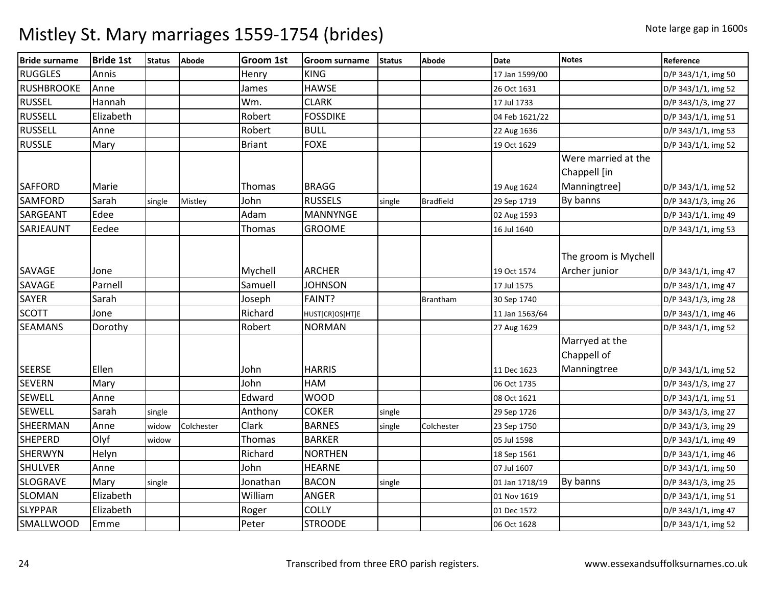| <b>Bride surname</b> | <b>Bride 1st</b> | <b>Status</b> | <b>Abode</b> | <b>Groom 1st</b> | <b>Groom surname</b> | <b>Status</b> | Abode            | <b>Date</b>    | <b>Notes</b>                          | Reference           |
|----------------------|------------------|---------------|--------------|------------------|----------------------|---------------|------------------|----------------|---------------------------------------|---------------------|
| <b>RUGGLES</b>       | Annis            |               |              | Henry            | <b>KING</b>          |               |                  | 17 Jan 1599/00 |                                       | D/P 343/1/1, img 50 |
| <b>RUSHBROOKE</b>    | Anne             |               |              | James            | <b>HAWSE</b>         |               |                  | 26 Oct 1631    |                                       | D/P 343/1/1, img 52 |
| <b>RUSSEL</b>        | Hannah           |               |              | Wm.              | <b>CLARK</b>         |               |                  | 17 Jul 1733    |                                       | D/P 343/1/3, img 27 |
| <b>RUSSELL</b>       | Elizabeth        |               |              | Robert           | <b>FOSSDIKE</b>      |               |                  | 04 Feb 1621/22 |                                       | D/P 343/1/1, img 51 |
| <b>RUSSELL</b>       | Anne             |               |              | Robert           | <b>BULL</b>          |               |                  | 22 Aug 1636    |                                       | D/P 343/1/1, img 53 |
| <b>RUSSLE</b>        | Mary             |               |              | <b>Briant</b>    | <b>FOXE</b>          |               |                  | 19 Oct 1629    |                                       | D/P 343/1/1, img 52 |
|                      |                  |               |              |                  |                      |               |                  |                | Were married at the<br>Chappell [in   |                     |
| <b>SAFFORD</b>       | Marie            |               |              | Thomas           | <b>BRAGG</b>         |               |                  | 19 Aug 1624    | Manningtree]                          | D/P 343/1/1, img 52 |
| <b>SAMFORD</b>       | Sarah            | single        | Mistley      | John             | <b>RUSSELS</b>       | single        | <b>Bradfield</b> | 29 Sep 1719    | By banns                              | D/P 343/1/3, img 26 |
| <b>SARGEANT</b>      | Edee             |               |              | Adam             | <b>MANNYNGE</b>      |               |                  | 02 Aug 1593    |                                       | D/P 343/1/1, img 49 |
| SARJEAUNT            | Eedee            |               |              | Thomas           | <b>GROOME</b>        |               |                  | 16 Jul 1640    |                                       | D/P 343/1/1, img 53 |
| <b>SAVAGE</b>        | Jone             |               |              | Mychell          | <b>ARCHER</b>        |               |                  | 19 Oct 1574    | The groom is Mychell<br>Archer junior | D/P 343/1/1, img 47 |
| SAVAGE               | Parnell          |               |              | Samuell          | <b>JOHNSON</b>       |               |                  | 17 Jul 1575    |                                       | D/P 343/1/1, img 47 |
| <b>SAYER</b>         | Sarah            |               |              | Joseph           | FAINT?               |               | <b>Brantham</b>  | 30 Sep 1740    |                                       | D/P 343/1/3, img 28 |
| <b>SCOTT</b>         | Jone             |               |              | Richard          | HUST[CR]OS[HT]E      |               |                  | 11 Jan 1563/64 |                                       | D/P 343/1/1, img 46 |
| <b>SEAMANS</b>       | Dorothy          |               |              | Robert           | <b>NORMAN</b>        |               |                  | 27 Aug 1629    |                                       | D/P 343/1/1, img 52 |
|                      |                  |               |              |                  |                      |               |                  |                | Marryed at the<br>Chappell of         |                     |
| <b>SEERSE</b>        | Ellen            |               |              | John             | <b>HARRIS</b>        |               |                  | 11 Dec 1623    | Manningtree                           | D/P 343/1/1, img 52 |
| <b>SEVERN</b>        | Mary             |               |              | John             | <b>HAM</b>           |               |                  | 06 Oct 1735    |                                       | D/P 343/1/3, img 27 |
| <b>SEWELL</b>        | Anne             |               |              | Edward           | <b>WOOD</b>          |               |                  | 08 Oct 1621    |                                       | D/P 343/1/1, img 51 |
| <b>SEWELL</b>        | Sarah            | single        |              | Anthony          | <b>COKER</b>         | single        |                  | 29 Sep 1726    |                                       | D/P 343/1/3, img 27 |
| SHEERMAN             | Anne             | widow         | Colchester   | Clark            | <b>BARNES</b>        | single        | Colchester       | 23 Sep 1750    |                                       | D/P 343/1/3, img 29 |
| <b>SHEPERD</b>       | Olyf             | widow         |              | Thomas           | <b>BARKER</b>        |               |                  | 05 Jul 1598    |                                       | D/P 343/1/1, img 49 |
| <b>SHERWYN</b>       | Helyn            |               |              | Richard          | <b>NORTHEN</b>       |               |                  | 18 Sep 1561    |                                       | D/P 343/1/1, img 46 |
| <b>SHULVER</b>       | Anne             |               |              | John             | <b>HEARNE</b>        |               |                  | 07 Jul 1607    |                                       | D/P 343/1/1, img 50 |
| <b>SLOGRAVE</b>      | Mary             | single        |              | Jonathan         | <b>BACON</b>         | single        |                  | 01 Jan 1718/19 | By banns                              | D/P 343/1/3, img 25 |
| <b>SLOMAN</b>        | Elizabeth        |               |              | William          | <b>ANGER</b>         |               |                  | 01 Nov 1619    |                                       | D/P 343/1/1, img 51 |
| <b>SLYPPAR</b>       | Elizabeth        |               |              | Roger            | <b>COLLY</b>         |               |                  | 01 Dec 1572    |                                       | D/P 343/1/1, img 47 |
| <b>SMALLWOOD</b>     | Emme             |               |              | Peter            | <b>STROODE</b>       |               |                  | 06 Oct 1628    |                                       | D/P 343/1/1, img 52 |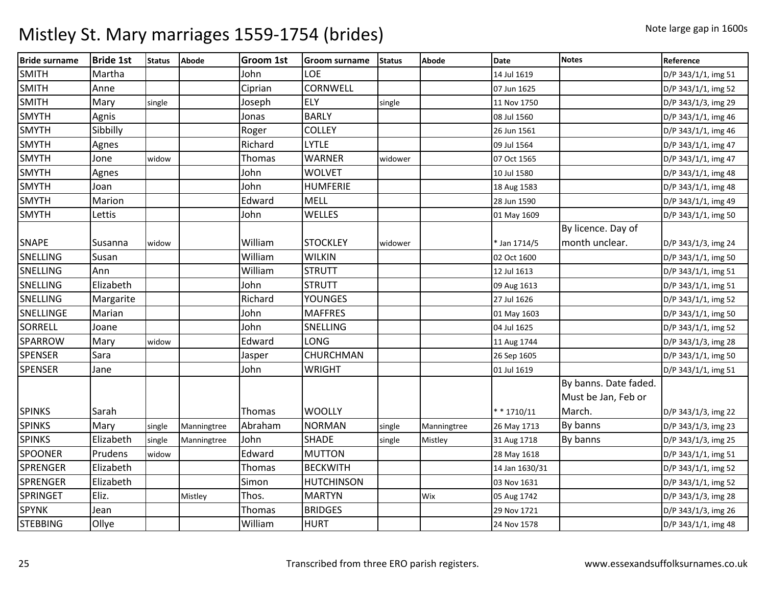| <b>Bride surname</b> | <b>Bride 1st</b> | <b>Status</b> | <b>Abode</b> | <b>Groom 1st</b> | <b>Groom surname</b> | <b>Status</b> | Abode       | <b>Date</b>    | <b>Notes</b>          | Reference           |
|----------------------|------------------|---------------|--------------|------------------|----------------------|---------------|-------------|----------------|-----------------------|---------------------|
| <b>SMITH</b>         | Martha           |               |              | John             | LOE                  |               |             | 14 Jul 1619    |                       | D/P 343/1/1, img 51 |
| <b>SMITH</b>         | Anne             |               |              | Ciprian          | CORNWELL             |               |             | 07 Jun 1625    |                       | D/P 343/1/1, img 52 |
| <b>SMITH</b>         | Mary             | single        |              | Joseph           | ELY                  | single        |             | 11 Nov 1750    |                       | D/P 343/1/3, img 29 |
| <b>SMYTH</b>         | Agnis            |               |              | Jonas            | <b>BARLY</b>         |               |             | 08 Jul 1560    |                       | D/P 343/1/1, img 46 |
| <b>SMYTH</b>         | Sibbilly         |               |              | Roger            | <b>COLLEY</b>        |               |             | 26 Jun 1561    |                       | D/P 343/1/1, img 46 |
| <b>SMYTH</b>         | Agnes            |               |              | Richard          | <b>LYTLE</b>         |               |             | 09 Jul 1564    |                       | D/P 343/1/1, img 47 |
| <b>SMYTH</b>         | Jone             | widow         |              | Thomas           | <b>WARNER</b>        | widower       |             | 07 Oct 1565    |                       | D/P 343/1/1, img 47 |
| <b>SMYTH</b>         | Agnes            |               |              | John             | <b>WOLVET</b>        |               |             | 10 Jul 1580    |                       | D/P 343/1/1, img 48 |
| <b>SMYTH</b>         | Joan             |               |              | John             | <b>HUMFERIE</b>      |               |             | 18 Aug 1583    |                       | D/P 343/1/1, img 48 |
| <b>SMYTH</b>         | Marion           |               |              | Edward           | <b>MELL</b>          |               |             | 28 Jun 1590    |                       | D/P 343/1/1, img 49 |
| <b>SMYTH</b>         | Lettis           |               |              | John             | WELLES               |               |             | 01 May 1609    |                       | D/P 343/1/1, img 50 |
|                      |                  |               |              |                  |                      |               |             |                | By licence. Day of    |                     |
| <b>SNAPE</b>         | Susanna          | widow         |              | William          | <b>STOCKLEY</b>      | widower       |             | * Jan 1714/5   | month unclear.        | D/P 343/1/3, img 24 |
| <b>SNELLING</b>      | Susan            |               |              | William          | <b>WILKIN</b>        |               |             | 02 Oct 1600    |                       | D/P 343/1/1, img 50 |
| SNELLING             | Ann              |               |              | William          | <b>STRUTT</b>        |               |             | 12 Jul 1613    |                       | D/P 343/1/1, img 51 |
| SNELLING             | Elizabeth        |               |              | John             | <b>STRUTT</b>        |               |             | 09 Aug 1613    |                       | D/P 343/1/1, img 51 |
| SNELLING             | Margarite        |               |              | Richard          | <b>YOUNGES</b>       |               |             | 27 Jul 1626    |                       | D/P 343/1/1, img 52 |
| SNELLINGE            | Marian           |               |              | John             | <b>MAFFRES</b>       |               |             | 01 May 1603    |                       | D/P 343/1/1, img 50 |
| <b>SORRELL</b>       | Joane            |               |              | John             | SNELLING             |               |             | 04 Jul 1625    |                       | D/P 343/1/1, img 52 |
| <b>SPARROW</b>       | Mary             | widow         |              | Edward           | LONG                 |               |             | 11 Aug 1744    |                       | D/P 343/1/3, img 28 |
| <b>SPENSER</b>       | Sara             |               |              | Jasper           | CHURCHMAN            |               |             | 26 Sep 1605    |                       | D/P 343/1/1, img 50 |
| <b>SPENSER</b>       | Jane             |               |              | John             | <b>WRIGHT</b>        |               |             | 01 Jul 1619    |                       | D/P 343/1/1, img 51 |
|                      |                  |               |              |                  |                      |               |             |                | By banns. Date faded. |                     |
|                      |                  |               |              |                  |                      |               |             |                | Must be Jan, Feb or   |                     |
| <b>SPINKS</b>        | Sarah            |               |              | Thomas           | <b>WOOLLY</b>        |               |             | $* * 1710/11$  | March.                | D/P 343/1/3, img 22 |
| <b>SPINKS</b>        | Mary             | single        | Manningtree  | Abraham          | <b>NORMAN</b>        | single        | Manningtree | 26 May 1713    | By banns              | D/P 343/1/3, img 23 |
| <b>SPINKS</b>        | Elizabeth        | single        | Manningtree  | John             | <b>SHADE</b>         | single        | Mistley     | 31 Aug 1718    | By banns              | D/P 343/1/3, img 25 |
| SPOONER              | Prudens          | widow         |              | Edward           | <b>MUTTON</b>        |               |             | 28 May 1618    |                       | D/P 343/1/1, img 51 |
| <b>SPRENGER</b>      | Elizabeth        |               |              | Thomas           | <b>BECKWITH</b>      |               |             | 14 Jan 1630/31 |                       | D/P 343/1/1, img 52 |
| <b>SPRENGER</b>      | Elizabeth        |               |              | Simon            | <b>HUTCHINSON</b>    |               |             | 03 Nov 1631    |                       | D/P 343/1/1, img 52 |
| <b>SPRINGET</b>      | Eliz.            |               | Mistley      | Thos.            | <b>MARTYN</b>        |               | Wix         | 05 Aug 1742    |                       | D/P 343/1/3, img 28 |
| <b>SPYNK</b>         | Jean             |               |              | Thomas           | <b>BRIDGES</b>       |               |             | 29 Nov 1721    |                       | D/P 343/1/3, img 26 |
| <b>STEBBING</b>      | Ollye            |               |              | William          | <b>HURT</b>          |               |             | 24 Nov 1578    |                       | D/P 343/1/1, img 48 |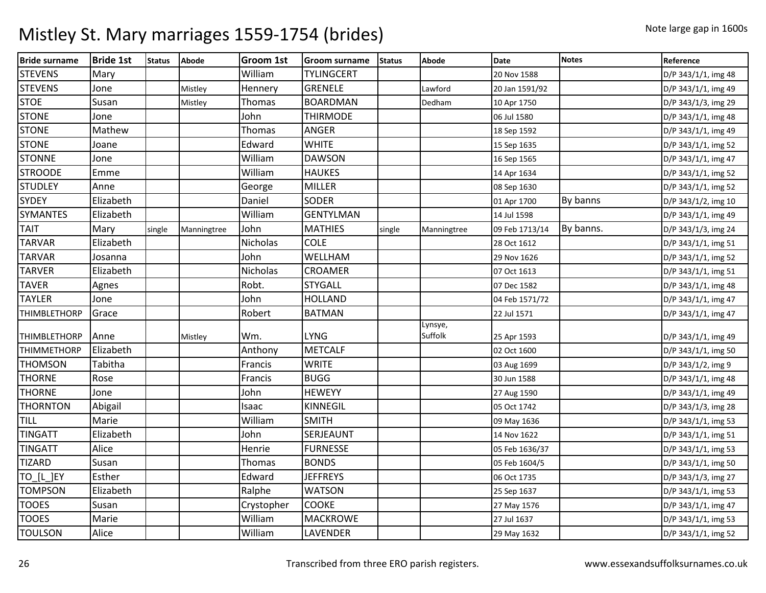| <b>Bride surname</b> | <b>Bride 1st</b> | <b>Status</b> | <b>Abode</b> | <b>Groom 1st</b> | <b>Groom surname</b> | <b>Status</b> | Abode              | <b>Date</b>    | <b>Notes</b> | Reference           |
|----------------------|------------------|---------------|--------------|------------------|----------------------|---------------|--------------------|----------------|--------------|---------------------|
| <b>STEVENS</b>       | Mary             |               |              | William          | <b>TYLINGCERT</b>    |               |                    | 20 Nov 1588    |              | D/P 343/1/1, img 48 |
| <b>STEVENS</b>       | Jone             |               | Mistley      | Hennery          | <b>GRENELE</b>       |               | Lawford            | 20 Jan 1591/92 |              | D/P 343/1/1, img 49 |
| <b>STOE</b>          | Susan            |               | Mistley      | Thomas           | <b>BOARDMAN</b>      |               | Dedham             | 10 Apr 1750    |              | D/P 343/1/3, img 29 |
| <b>STONE</b>         | Jone             |               |              | John             | <b>THIRMODE</b>      |               |                    | 06 Jul 1580    |              | D/P 343/1/1, img 48 |
| <b>STONE</b>         | Mathew           |               |              | Thomas           | <b>ANGER</b>         |               |                    | 18 Sep 1592    |              | D/P 343/1/1, img 49 |
| <b>STONE</b>         | Joane            |               |              | Edward           | <b>WHITE</b>         |               |                    | 15 Sep 1635    |              | D/P 343/1/1, img 52 |
| <b>STONNE</b>        | Jone             |               |              | William          | <b>DAWSON</b>        |               |                    | 16 Sep 1565    |              | D/P 343/1/1, img 47 |
| <b>STROODE</b>       | Emme             |               |              | William          | <b>HAUKES</b>        |               |                    | 14 Apr 1634    |              | D/P 343/1/1, img 52 |
| <b>STUDLEY</b>       | Anne             |               |              | George           | <b>MILLER</b>        |               |                    | 08 Sep 1630    |              | D/P 343/1/1, img 52 |
| <b>SYDEY</b>         | Elizabeth        |               |              | Daniel           | <b>SODER</b>         |               |                    | 01 Apr 1700    | By banns     | D/P 343/1/2, img 10 |
| <b>SYMANTES</b>      | Elizabeth        |               |              | William          | <b>GENTYLMAN</b>     |               |                    | 14 Jul 1598    |              | D/P 343/1/1, img 49 |
| <b>TAIT</b>          | Mary             | single        | Manningtree  | John             | <b>MATHIES</b>       | single        | Manningtree        | 09 Feb 1713/14 | By banns.    | D/P 343/1/3, img 24 |
| <b>TARVAR</b>        | Elizabeth        |               |              | Nicholas         | <b>COLE</b>          |               |                    | 28 Oct 1612    |              | D/P 343/1/1, img 51 |
| <b>TARVAR</b>        | Josanna          |               |              | John             | WELLHAM              |               |                    | 29 Nov 1626    |              | D/P 343/1/1, img 52 |
| <b>TARVER</b>        | Elizabeth        |               |              | Nicholas         | <b>CROAMER</b>       |               |                    | 07 Oct 1613    |              | D/P 343/1/1, img 51 |
| <b>TAVER</b>         | Agnes            |               |              | Robt.            | <b>STYGALL</b>       |               |                    | 07 Dec 1582    |              | D/P 343/1/1, img 48 |
| <b>TAYLER</b>        | Jone             |               |              | John             | <b>HOLLAND</b>       |               |                    | 04 Feb 1571/72 |              | D/P 343/1/1, img 47 |
| <b>THIMBLETHORP</b>  | Grace            |               |              | Robert           | <b>BATMAN</b>        |               |                    | 22 Jul 1571    |              | D/P 343/1/1, img 47 |
| <b>THIMBLETHORP</b>  | Anne             |               | Mistley      | Wm.              | <b>LYNG</b>          |               | Lynsye,<br>Suffolk | 25 Apr 1593    |              | D/P 343/1/1, img 49 |
| <b>THIMMETHORP</b>   | Elizabeth        |               |              | Anthony          | <b>METCALF</b>       |               |                    | 02 Oct 1600    |              | D/P 343/1/1, img 50 |
| <b>THOMSON</b>       | Tabitha          |               |              | Francis          | <b>WRITE</b>         |               |                    | 03 Aug 1699    |              | D/P 343/1/2, img 9  |
| <b>THORNE</b>        | Rose             |               |              | Francis          | <b>BUGG</b>          |               |                    | 30 Jun 1588    |              | D/P 343/1/1, img 48 |
| <b>THORNE</b>        | Jone             |               |              | John             | <b>HEWEYY</b>        |               |                    | 27 Aug 1590    |              | D/P 343/1/1, img 49 |
| <b>THORNTON</b>      | Abigail          |               |              | Isaac            | <b>KINNEGIL</b>      |               |                    | 05 Oct 1742    |              | D/P 343/1/3, img 28 |
| TILL                 | Marie            |               |              | William          | <b>SMITH</b>         |               |                    | 09 May 1636    |              | D/P 343/1/1, img 53 |
| <b>TINGATT</b>       | Elizabeth        |               |              | John             | SERJEAUNT            |               |                    | 14 Nov 1622    |              | D/P 343/1/1, img 51 |
| <b>TINGATT</b>       | Alice            |               |              | Henrie           | <b>FURNESSE</b>      |               |                    | 05 Feb 1636/37 |              | D/P 343/1/1, img 53 |
| <b>TIZARD</b>        | Susan            |               |              | Thomas           | <b>BONDS</b>         |               |                    | 05 Feb 1604/5  |              | D/P 343/1/1, img 50 |
| TO_[L_]EY            | Esther           |               |              | Edward           | <b>JEFFREYS</b>      |               |                    | 06 Oct 1735    |              | D/P 343/1/3, img 27 |
| <b>TOMPSON</b>       | Elizabeth        |               |              | Ralphe           | <b>WATSON</b>        |               |                    | 25 Sep 1637    |              | D/P 343/1/1, img 53 |
| <b>TOOES</b>         | Susan            |               |              | Crystopher       | <b>COOKE</b>         |               |                    | 27 May 1576    |              | D/P 343/1/1, img 47 |
| <b>TOOES</b>         | Marie            |               |              | William          | <b>MACKROWE</b>      |               |                    | 27 Jul 1637    |              | D/P 343/1/1, img 53 |
| <b>TOULSON</b>       | Alice            |               |              | William          | LAVENDER             |               |                    | 29 May 1632    |              | D/P 343/1/1, img 52 |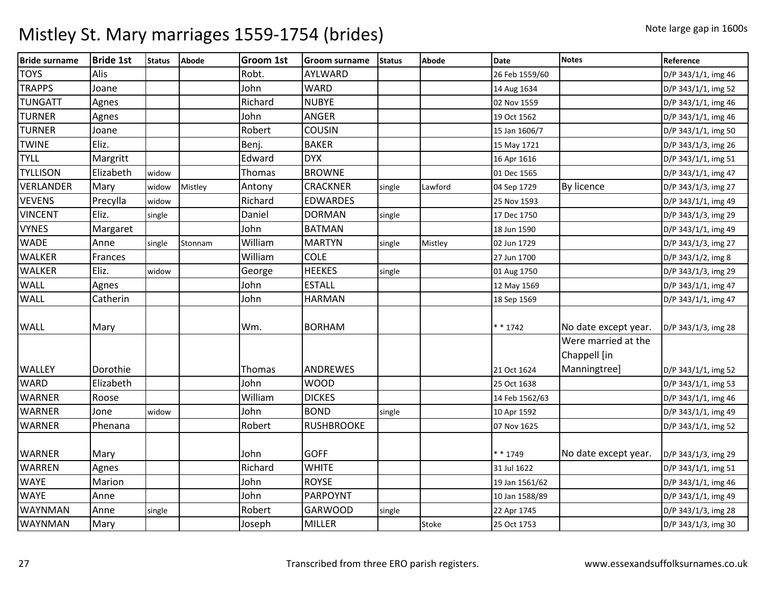| <b>Bride surname</b> | <b>Bride 1st</b> | <b>Status</b> | Abode   | <b>Groom 1st</b> | <b>Groom surname</b> | <b>Status</b> | <b>Abode</b> | <b>Date</b>    | <b>Notes</b>                        | Reference           |
|----------------------|------------------|---------------|---------|------------------|----------------------|---------------|--------------|----------------|-------------------------------------|---------------------|
| <b>TOYS</b>          | Alis             |               |         | Robt.            | AYLWARD              |               |              | 26 Feb 1559/60 |                                     | D/P 343/1/1, img 46 |
| <b>TRAPPS</b>        | Joane            |               |         | John             | <b>WARD</b>          |               |              | 14 Aug 1634    |                                     | D/P 343/1/1, img 52 |
| <b>TUNGATT</b>       | Agnes            |               |         | Richard          | <b>NUBYE</b>         |               |              | 02 Nov 1559    |                                     | D/P 343/1/1, img 46 |
| <b>TURNER</b>        | Agnes            |               |         | John             | <b>ANGER</b>         |               |              | 19 Oct 1562    |                                     | D/P 343/1/1, img 46 |
| <b>TURNER</b>        | Joane            |               |         | Robert           | COUSIN               |               |              | 15 Jan 1606/7  |                                     | D/P 343/1/1, img 50 |
| <b>TWINE</b>         | Eliz.            |               |         | Benj.            | <b>BAKER</b>         |               |              | 15 May 1721    |                                     | D/P 343/1/3, img 26 |
| <b>TYLL</b>          | Margritt         |               |         | Edward           | <b>DYX</b>           |               |              | 16 Apr 1616    |                                     | D/P 343/1/1, img 51 |
| <b>TYLLISON</b>      | Elizabeth        | widow         |         | Thomas           | <b>BROWNE</b>        |               |              | 01 Dec 1565    |                                     | D/P 343/1/1, img 47 |
| VERLANDER            | Mary             | widow         | Mistley | Antony           | <b>CRACKNER</b>      | single        | Lawford      | 04 Sep 1729    | By licence                          | D/P 343/1/3, img 27 |
| <b>VEVENS</b>        | Precylla         | widow         |         | Richard          | <b>EDWARDES</b>      |               |              | 25 Nov 1593    |                                     | D/P 343/1/1, img 49 |
| <b>VINCENT</b>       | Eliz.            | single        |         | Daniel           | <b>DORMAN</b>        | single        |              | 17 Dec 1750    |                                     | D/P 343/1/3, img 29 |
| <b>VYNES</b>         | Margaret         |               |         | John             | <b>BATMAN</b>        |               |              | 18 Jun 1590    |                                     | D/P 343/1/1, img 49 |
| <b>WADE</b>          | Anne             | single        | Stonnam | William          | <b>MARTYN</b>        | single        | Mistley      | 02 Jun 1729    |                                     | D/P 343/1/3, img 27 |
| <b>WALKER</b>        | Frances          |               |         | William          | <b>COLE</b>          |               |              | 27 Jun 1700    |                                     | D/P 343/1/2, img 8  |
| <b>WALKER</b>        | Eliz.            | widow         |         | George           | <b>HEEKES</b>        | single        |              | 01 Aug 1750    |                                     | D/P 343/1/3, img 29 |
| <b>WALL</b>          | Agnes            |               |         | John             | <b>ESTALL</b>        |               |              | 12 May 1569    |                                     | D/P 343/1/1, img 47 |
| <b>WALL</b>          | Catherin         |               |         | John             | <b>HARMAN</b>        |               |              | 18 Sep 1569    |                                     | D/P 343/1/1, img 47 |
| <b>WALL</b>          | Mary             |               |         | Wm.              | <b>BORHAM</b>        |               |              | $* * 1742$     | No date except year.                | D/P 343/1/3, img 28 |
|                      |                  |               |         |                  |                      |               |              |                | Were married at the<br>Chappell [in |                     |
| <b>WALLEY</b>        | Dorothie         |               |         | Thomas           | ANDREWES             |               |              | 21 Oct 1624    | Manningtree]                        | D/P 343/1/1, img 52 |
| <b>WARD</b>          | Elizabeth        |               |         | John             | <b>WOOD</b>          |               |              | 25 Oct 1638    |                                     | D/P 343/1/1, img 53 |
| <b>WARNER</b>        | Roose            |               |         | William          | <b>DICKES</b>        |               |              | 14 Feb 1562/63 |                                     | D/P 343/1/1, img 46 |
| <b>WARNER</b>        | Jone             | widow         |         | John             | <b>BOND</b>          | single        |              | 10 Apr 1592    |                                     | D/P 343/1/1, img 49 |
| <b>WARNER</b>        | Phenana          |               |         | Robert           | <b>RUSHBROOKE</b>    |               |              | 07 Nov 1625    |                                     | D/P 343/1/1, img 52 |
| <b>WARNER</b>        | Mary             |               |         | John             | <b>GOFF</b>          |               |              | * * 1749       | No date except year.                | D/P 343/1/3, img 29 |
| <b>WARREN</b>        | Agnes            |               |         | Richard          | <b>WHITE</b>         |               |              | 31 Jul 1622    |                                     | D/P 343/1/1, img 51 |
| <b>WAYE</b>          | Marion           |               |         | John             | <b>ROYSE</b>         |               |              | 19 Jan 1561/62 |                                     | D/P 343/1/1, img 46 |
| <b>WAYE</b>          | Anne             |               |         | John             | <b>PARPOYNT</b>      |               |              | 10 Jan 1588/89 |                                     | D/P 343/1/1, img 49 |
| <b>WAYNMAN</b>       | Anne             | single        |         | Robert           | <b>GARWOOD</b>       | single        |              | 22 Apr 1745    |                                     | D/P 343/1/3, img 28 |
| <b>WAYNMAN</b>       | Mary             |               |         | Joseph           | <b>MILLER</b>        |               | Stoke        | 25 Oct 1753    |                                     | D/P 343/1/3, img 30 |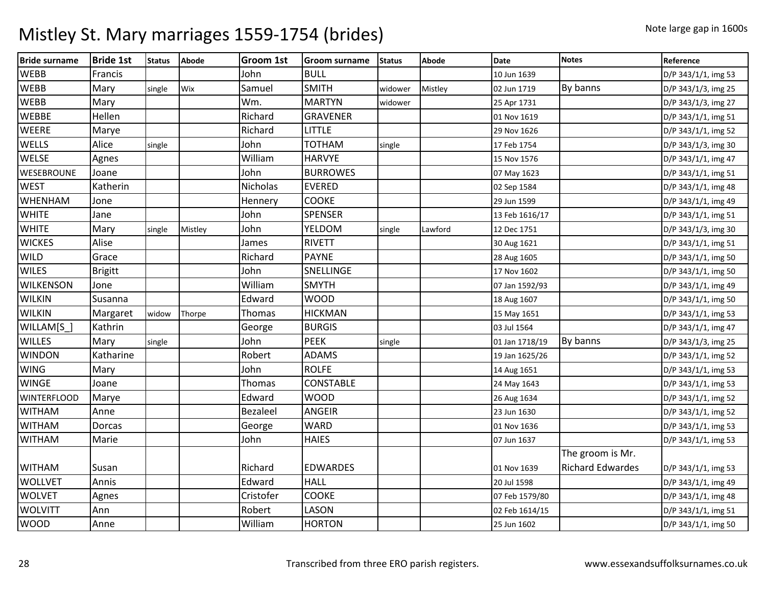| <b>Bride surname</b> | <b>Bride 1st</b> | <b>Status</b> | <b>Abode</b> | <b>Groom 1st</b> | <b>Groom surname</b> | <b>Status</b> | <b>Abode</b> | <b>Date</b>    | <b>Notes</b>            | Reference           |
|----------------------|------------------|---------------|--------------|------------------|----------------------|---------------|--------------|----------------|-------------------------|---------------------|
| <b>WEBB</b>          | Francis          |               |              | John             | <b>BULL</b>          |               |              | 10 Jun 1639    |                         | D/P 343/1/1, img 53 |
| WEBB                 | Mary             | single        | Wix          | Samuel           | <b>SMITH</b>         | widower       | Mistley      | 02 Jun 1719    | By banns                | D/P 343/1/3, img 25 |
| <b>WEBB</b>          | Mary             |               |              | Wm.              | <b>MARTYN</b>        | widower       |              | 25 Apr 1731    |                         | D/P 343/1/3, img 27 |
| <b>WEBBE</b>         | Hellen           |               |              | Richard          | <b>GRAVENER</b>      |               |              | 01 Nov 1619    |                         | D/P 343/1/1, img 51 |
| <b>WEERE</b>         | Marye            |               |              | Richard          | <b>LITTLE</b>        |               |              | 29 Nov 1626    |                         | D/P 343/1/1, img 52 |
| WELLS                | Alice            | single        |              | John             | <b>TOTHAM</b>        | single        |              | 17 Feb 1754    |                         | D/P 343/1/3, img 30 |
| <b>WELSE</b>         | Agnes            |               |              | William          | <b>HARVYE</b>        |               |              | 15 Nov 1576    |                         | D/P 343/1/1, img 47 |
| WESEBROUNE           | Joane            |               |              | John             | <b>BURROWES</b>      |               |              | 07 May 1623    |                         | D/P 343/1/1, img 51 |
| <b>WEST</b>          | Katherin         |               |              | Nicholas         | <b>EVERED</b>        |               |              | 02 Sep 1584    |                         | D/P 343/1/1, img 48 |
| <b>WHENHAM</b>       | Jone             |               |              | Hennery          | <b>COOKE</b>         |               |              | 29 Jun 1599    |                         | D/P 343/1/1, img 49 |
| <b>WHITE</b>         | Jane             |               |              | John             | SPENSER              |               |              | 13 Feb 1616/17 |                         | D/P 343/1/1, img 51 |
| <b>WHITE</b>         | Mary             | single        | Mistley      | John             | YELDOM               | single        | Lawford      | 12 Dec 1751    |                         | D/P 343/1/3, img 30 |
| <b>WICKES</b>        | Alise            |               |              | James            | <b>RIVETT</b>        |               |              | 30 Aug 1621    |                         | D/P 343/1/1, img 51 |
| <b>WILD</b>          | Grace            |               |              | Richard          | <b>PAYNE</b>         |               |              | 28 Aug 1605    |                         | D/P 343/1/1, img 50 |
| <b>WILES</b>         | <b>Brigitt</b>   |               |              | John             | SNELLINGE            |               |              | 17 Nov 1602    |                         | D/P 343/1/1, img 50 |
| <b>WILKENSON</b>     | Jone             |               |              | William          | <b>SMYTH</b>         |               |              | 07 Jan 1592/93 |                         | D/P 343/1/1, img 49 |
| <b>WILKIN</b>        | Susanna          |               |              | Edward           | <b>WOOD</b>          |               |              | 18 Aug 1607    |                         | D/P 343/1/1, img 50 |
| <b>WILKIN</b>        | Margaret         | widow         | Thorpe       | Thomas           | <b>HICKMAN</b>       |               |              | 15 May 1651    |                         | D/P 343/1/1, img 53 |
| WILLAM[S_]           | Kathrin          |               |              | George           | <b>BURGIS</b>        |               |              | 03 Jul 1564    |                         | D/P 343/1/1, img 47 |
| <b>WILLES</b>        | Mary             | single        |              | John             | <b>PEEK</b>          | single        |              | 01 Jan 1718/19 | By banns                | D/P 343/1/3, img 25 |
| <b>WINDON</b>        | Katharine        |               |              | Robert           | <b>ADAMS</b>         |               |              | 19 Jan 1625/26 |                         | D/P 343/1/1, img 52 |
| <b>WING</b>          | Mary             |               |              | John             | <b>ROLFE</b>         |               |              | 14 Aug 1651    |                         | D/P 343/1/1, img 53 |
| <b>WINGE</b>         | Joane            |               |              | Thomas           | CONSTABLE            |               |              | 24 May 1643    |                         | D/P 343/1/1, img 53 |
| <b>WINTERFLOOD</b>   | Marye            |               |              | Edward           | <b>WOOD</b>          |               |              | 26 Aug 1634    |                         | D/P 343/1/1, img 52 |
| <b>WITHAM</b>        | Anne             |               |              | <b>Bezaleel</b>  | <b>ANGEIR</b>        |               |              | 23 Jun 1630    |                         | D/P 343/1/1, img 52 |
| <b>WITHAM</b>        | Dorcas           |               |              | George           | <b>WARD</b>          |               |              | 01 Nov 1636    |                         | D/P 343/1/1, img 53 |
| <b>WITHAM</b>        | Marie            |               |              | John             | <b>HAIES</b>         |               |              | 07 Jun 1637    |                         | D/P 343/1/1, img 53 |
|                      |                  |               |              |                  |                      |               |              |                | The groom is Mr.        |                     |
| <b>WITHAM</b>        | Susan            |               |              | Richard          | <b>EDWARDES</b>      |               |              | 01 Nov 1639    | <b>Richard Edwardes</b> | D/P 343/1/1, img 53 |
| <b>WOLLVET</b>       | Annis            |               |              | Edward           | <b>HALL</b>          |               |              | 20 Jul 1598    |                         | D/P 343/1/1, img 49 |
| <b>WOLVET</b>        | Agnes            |               |              | Cristofer        | <b>COOKE</b>         |               |              | 07 Feb 1579/80 |                         | D/P 343/1/1, img 48 |
| <b>WOLVITT</b>       | Ann              |               |              | Robert           | LASON                |               |              | 02 Feb 1614/15 |                         | D/P 343/1/1, img 51 |
| <b>WOOD</b>          | Anne             |               |              | William          | <b>HORTON</b>        |               |              | 25 Jun 1602    |                         | D/P 343/1/1, img 50 |